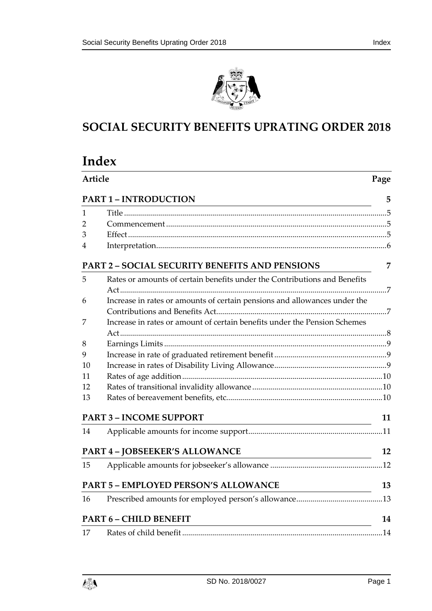

# **SOCIAL SECURITY BENEFITS UPRATING ORDER 2018**

|    | Article<br>Page                                                                                                                                         |    |  |
|----|---------------------------------------------------------------------------------------------------------------------------------------------------------|----|--|
|    | <b>PART 1 - INTRODUCTION</b>                                                                                                                            | 5  |  |
| 1  |                                                                                                                                                         |    |  |
| 2  |                                                                                                                                                         |    |  |
| 3  |                                                                                                                                                         |    |  |
| 4  |                                                                                                                                                         |    |  |
|    | <b>PART 2 - SOCIAL SECURITY BENEFITS AND PENSIONS</b>                                                                                                   | 7  |  |
| 5  | Rates or amounts of certain benefits under the Contributions and Benefits                                                                               |    |  |
|    |                                                                                                                                                         |    |  |
| 6  | Increase in rates or amounts of certain pensions and allowances under the                                                                               |    |  |
| 7  | Increase in rates or amount of certain benefits under the Pension Schemes                                                                               |    |  |
|    |                                                                                                                                                         |    |  |
| 8  |                                                                                                                                                         |    |  |
| 9  |                                                                                                                                                         |    |  |
| 10 |                                                                                                                                                         |    |  |
| 11 |                                                                                                                                                         |    |  |
| 12 |                                                                                                                                                         |    |  |
| 13 |                                                                                                                                                         |    |  |
|    | <b>PART 3 - INCOME SUPPORT</b><br><u> 1989 - Johann Barbara, martin amerikan basar dan berasal dan berasal dalam basar dalam basar dalam basar dala</u> | 11 |  |
| 14 |                                                                                                                                                         |    |  |
|    | <b>PART 4 - JOBSEEKER'S ALLOWANCE</b>                                                                                                                   | 12 |  |
| 15 |                                                                                                                                                         |    |  |
|    | <b>PART 5 - EMPLOYED PERSON'S ALLOWANCE</b>                                                                                                             | 13 |  |
| 16 |                                                                                                                                                         |    |  |
|    | <b>PART 6 - CHILD BENEFIT</b><br><u> 1989 - Johann Stoff, deutscher Stoffen und der Stoffen und der Stoffen und der Stoffen und der Stoffen und der</u> | 14 |  |
| 17 |                                                                                                                                                         |    |  |

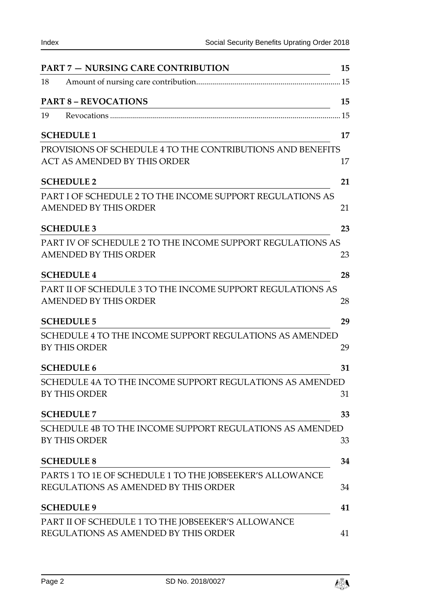| <b>PART 7 – NURSING CARE CONTRIBUTION</b>                                                         | 15 |
|---------------------------------------------------------------------------------------------------|----|
| 18                                                                                                |    |
| <b>PART 8 - REVOCATIONS</b>                                                                       | 15 |
| 19                                                                                                |    |
| <b>SCHEDULE 1</b>                                                                                 | 17 |
| PROVISIONS OF SCHEDULE 4 TO THE CONTRIBUTIONS AND BENEFITS<br><b>ACT AS AMENDED BY THIS ORDER</b> | 17 |
| <b>SCHEDULE 2</b>                                                                                 | 21 |
| PART I OF SCHEDULE 2 TO THE INCOME SUPPORT REGULATIONS AS<br>AMENDED BY THIS ORDER                | 21 |
| <b>SCHEDULE 3</b>                                                                                 | 23 |
| PART IV OF SCHEDULE 2 TO THE INCOME SUPPORT REGULATIONS AS<br><b>AMENDED BY THIS ORDER</b>        | 23 |
| <b>SCHEDULE 4</b>                                                                                 | 28 |
| PART II OF SCHEDULE 3 TO THE INCOME SUPPORT REGULATIONS AS<br><b>AMENDED BY THIS ORDER</b>        | 28 |
| <b>SCHEDULE 5</b>                                                                                 | 29 |
| SCHEDULE 4 TO THE INCOME SUPPORT REGULATIONS AS AMENDED<br><b>BY THIS ORDER</b>                   | 29 |
| <b>SCHEDULE 6</b>                                                                                 | 31 |
| SCHEDULE 4A TO THE INCOME SUPPORT REGULATIONS AS AMENDED<br><b>BY THIS ORDER</b>                  | 31 |
| <b>SCHEDULE 7</b>                                                                                 | 33 |
| SCHEDULE 4B TO THE INCOME SUPPORT REGULATIONS AS AMENDED<br><b>BY THIS ORDER</b>                  | 33 |
| <b>SCHEDULE 8</b>                                                                                 | 34 |
| PARTS 1 TO 1E OF SCHEDULE 1 TO THE JOBSEEKER'S ALLOWANCE<br>REGULATIONS AS AMENDED BY THIS ORDER  | 34 |
| <b>SCHEDULE 9</b>                                                                                 | 41 |
| PART II OF SCHEDULE 1 TO THE JOBSEEKER'S ALLOWANCE<br>REGULATIONS AS AMENDED BY THIS ORDER        | 41 |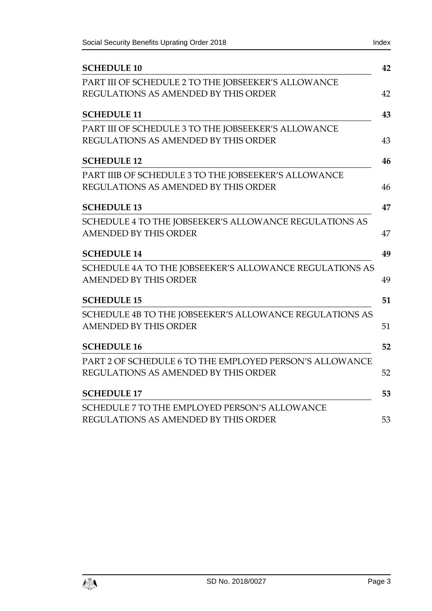| <b>SCHEDULE 10</b>                                      |
|---------------------------------------------------------|
| PART III OF SCHEDULE 2 TO THE JOBSEEKER'S ALLOWANCE     |
| REGULATIONS AS AMENDED BY THIS ORDER                    |
| <b>SCHEDULE 11</b>                                      |
| PART III OF SCHEDULE 3 TO THE JOBSEEKER'S ALLOWANCE     |
| REGULATIONS AS AMENDED BY THIS ORDER                    |
| <b>SCHEDULE 12</b>                                      |
| PART IIIB OF SCHEDULE 3 TO THE JOBSEEKER'S ALLOWANCE    |
| REGULATIONS AS AMENDED BY THIS ORDER                    |
| <b>SCHEDULE 13</b>                                      |
| SCHEDULE 4 TO THE JOBSEEKER'S ALLOWANCE REGULATIONS AS  |
| AMENDED BY THIS ORDER                                   |
| <b>SCHEDULE 14</b>                                      |
| SCHEDULE 4A TO THE JOBSEEKER'S ALLOWANCE REGULATIONS AS |
| <b>AMENDED BY THIS ORDER</b>                            |
| <b>SCHEDULE 15</b>                                      |
| SCHEDULE 4B TO THE JOBSEEKER'S ALLOWANCE REGULATIONS AS |
| <b>AMENDED BY THIS ORDER</b>                            |
| <b>SCHEDULE 16</b>                                      |
| PART 2 OF SCHEDULE 6 TO THE EMPLOYED PERSON'S ALLOWANCE |
| REGULATIONS AS AMENDED BY THIS ORDER                    |
| <b>SCHEDULE 17</b>                                      |
| SCHEDULE 7 TO THE EMPLOYED PERSON'S ALLOWANCE           |
| REGULATIONS AS AMENDED BY THIS ORDER                    |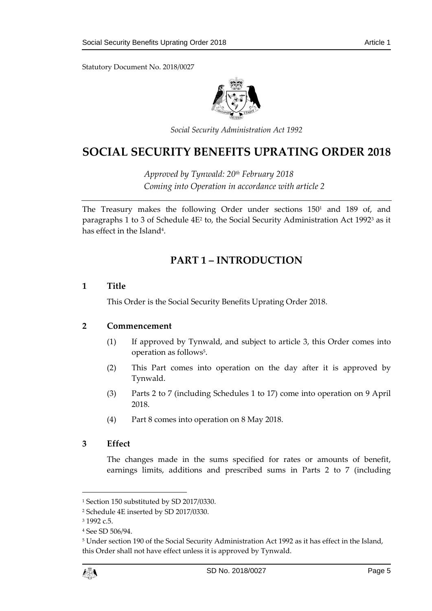Statutory Document No. 2018/0027



*Social Security Administration Act 1992*

# **SOCIAL SECURITY BENEFITS UPRATING ORDER 2018**

*Approved by Tynwald: 20th February 2018 Coming into Operation in accordance with article 2*

<span id="page-4-0"></span>The Treasury makes the following Order under sections 150<sup>1</sup> and 189 of, and paragraphs 1 to 3 of Schedule 4E<sup>2</sup> to, the Social Security Administration Act 1992<sup>3</sup> as it has effect in the Island<sup>4</sup>.

# **PART 1 – INTRODUCTION**

# <span id="page-4-1"></span>**1 Title**

This Order is the Social Security Benefits Uprating Order 2018.

# <span id="page-4-2"></span>**2 Commencement**

- (1) If approved by Tynwald, and subject to article 3, this Order comes into operation as follows<sup>5</sup>.
- (2) This Part comes into operation on the day after it is approved by Tynwald.
- (3) Parts 2 to 7 (including Schedules 1 to 17) come into operation on 9 April 2018.
- (4) Part 8 comes into operation on 8 May 2018.

# <span id="page-4-3"></span>**3 Effect**

The changes made in the sums specified for rates or amounts of benefit, earnings limits, additions and prescribed sums in Parts 2 to 7 (including

<sup>5</sup> Under section 190 of the Social Security Administration Act 1992 as it has effect in the Island, this Order shall not have effect unless it is approved by Tynwald.



<sup>1</sup> Section 150 substituted by SD 2017/0330.

<sup>2</sup> Schedule 4E inserted by SD 2017/0330.

<sup>3</sup> 1992 c.5.

<sup>4</sup> See SD 506/94.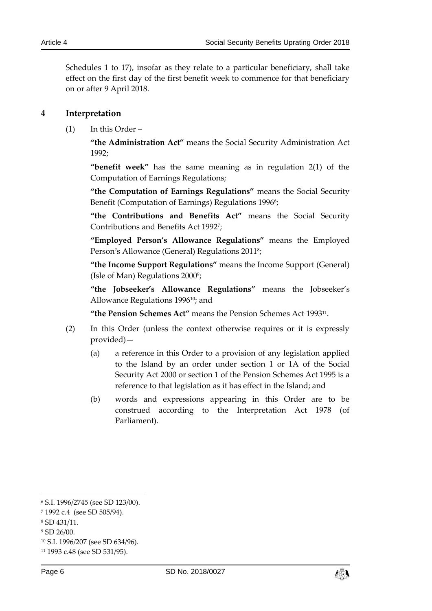Schedules 1 to 17), insofar as they relate to a particular beneficiary, shall take effect on the first day of the first benefit week to commence for that beneficiary on or after 9 April 2018.

### <span id="page-5-0"></span>**4 Interpretation**

(1) In this Order –

**"the Administration Act"** means the Social Security Administration Act 1992;

**"benefit week"** has the same meaning as in regulation 2(1) of the Computation of Earnings Regulations;

**"the Computation of Earnings Regulations"** means the Social Security Benefit (Computation of Earnings) Regulations 1996°;

**"the Contributions and Benefits Act"** means the Social Security Contributions and Benefits Act 1992<sup>7</sup> ;

**"Employed Person's Allowance Regulations"** means the Employed Person's Allowance (General) Regulations 2011<sup>8</sup>;

**"the Income Support Regulations"** means the Income Support (General) (Isle of Man) Regulations 2000<sup>9</sup>;

**"the Jobseeker's Allowance Regulations"** means the Jobseeker's Allowance Regulations 199610; and

**"the Pension Schemes Act"** means the Pension Schemes Act 1993<sup>11</sup> .

- (2) In this Order (unless the context otherwise requires or it is expressly provided)—
	- (a) a reference in this Order to a provision of any legislation applied to the Island by an order under section 1 or 1A of the Social Security Act 2000 or section 1 of the Pension Schemes Act 1995 is a reference to that legislation as it has effect in the Island; and
	- (b) words and expressions appearing in this Order are to be construed according to the Interpretation Act 1978 (of Parliament).



<sup>6</sup> S.I. 1996/2745 (see SD 123/00).

<sup>7</sup> 1992 c.4 (see SD 505/94).

<sup>8</sup> SD 431/11.

<sup>9</sup> SD 26/00.

<sup>10</sup> S.I. 1996/207 (see SD 634/96).

<sup>11</sup> 1993 c.48 (see SD 531/95).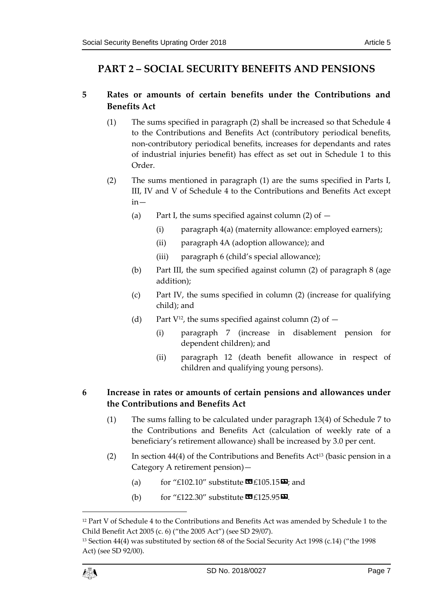# <span id="page-6-0"></span>**PART 2 – SOCIAL SECURITY BENEFITS AND PENSIONS**

# <span id="page-6-1"></span>**5 Rates or amounts of certain benefits under the Contributions and Benefits Act**

- (1) The sums specified in paragraph (2) shall be increased so that Schedule 4 to the Contributions and Benefits Act (contributory periodical benefits, non-contributory periodical benefits, increases for dependants and rates of industrial injuries benefit) has effect as set out in Schedule 1 to this Order.
- (2) The sums mentioned in paragraph (1) are the sums specified in Parts I, III, IV and V of Schedule 4 to the Contributions and Benefits Act except in—
	- (a) Part I, the sums specified against column  $(2)$  of  $-$ 
		- (i) paragraph 4(a) (maternity allowance: employed earners);
		- (ii) paragraph 4A (adoption allowance); and
		- (iii) paragraph 6 (child's special allowance);
	- (b) Part III, the sum specified against column (2) of paragraph 8 (age addition);
	- (c) Part IV, the sums specified in column (2) (increase for qualifying child); and
	- (d) Part  $V^{12}$ , the sums specified against column (2) of  $-$ 
		- (i) paragraph 7 (increase in disablement pension for dependent children); and
		- (ii) paragraph 12 (death benefit allowance in respect of children and qualifying young persons).

# <span id="page-6-2"></span>**6 Increase in rates or amounts of certain pensions and allowances under the Contributions and Benefits Act**

- (1) The sums falling to be calculated under paragraph 13(4) of Schedule 7 to the Contributions and Benefits Act (calculation of weekly rate of a beneficiary's retirement allowance) shall be increased by 3.0 per cent.
- (2) In section 44(4) of the Contributions and Benefits Act<sup>13</sup> (basic pension in a Category A retirement pension)—
	- (a) for "£102.10" substitute  $\mathbf{E}[105.15\mathbf{E}]$ ; and
	- (b) for "£122.30" substitute  $\mathbf{C1}$  £125.95 $\mathbf{\Sigma}$ .

<sup>13</sup> Section 44(4) was substituted by section 68 of the Social Security Act 1998 (c.14) ("the 1998 Act) (see SD 92/00).



<sup>&</sup>lt;sup>12</sup> Part V of Schedule 4 to the Contributions and Benefits Act was amended by Schedule 1 to the Child Benefit Act 2005 (c. 6) ("the 2005 Act") (see SD 29/07).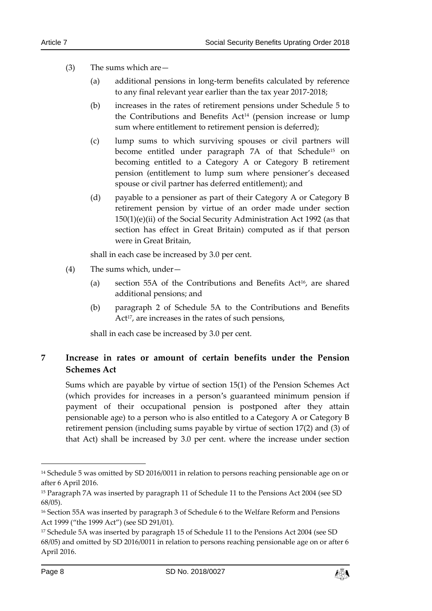- (3) The sums which are—
	- (a) additional pensions in long-term benefits calculated by reference to any final relevant year earlier than the tax year 2017-2018;
	- (b) increases in the rates of retirement pensions under Schedule 5 to the Contributions and Benefits Act<sup>14</sup> (pension increase or lump sum where entitlement to retirement pension is deferred);
	- (c) lump sums to which surviving spouses or civil partners will become entitled under paragraph 7A of that Schedule<sup>15</sup> on becoming entitled to a Category A or Category B retirement pension (entitlement to lump sum where pensioner's deceased spouse or civil partner has deferred entitlement); and
	- (d) payable to a pensioner as part of their Category A or Category B retirement pension by virtue of an order made under section 150(1)(e)(ii) of the Social Security Administration Act 1992 (as that section has effect in Great Britain) computed as if that person were in Great Britain,

shall in each case be increased by 3.0 per cent.

- (4) The sums which, under—
	- (a) section 55A of the Contributions and Benefits  $Act^{16}$ , are shared additional pensions; and
	- (b) paragraph 2 of Schedule 5A to the Contributions and Benefits Act<sup>17</sup>, are increases in the rates of such pensions,

shall in each case be increased by 3.0 per cent.

# <span id="page-7-0"></span>**7 Increase in rates or amount of certain benefits under the Pension Schemes Act**

Sums which are payable by virtue of section 15(1) of the Pension Schemes Act (which provides for increases in a person's guaranteed minimum pension if payment of their occupational pension is postponed after they attain pensionable age) to a person who is also entitled to a Category A or Category B retirement pension (including sums payable by virtue of section 17(2) and (3) of that Act) shall be increased by 3.0 per cent. where the increase under section



<sup>&</sup>lt;sup>14</sup> Schedule 5 was omitted by SD 2016/0011 in relation to persons reaching pensionable age on or after 6 April 2016.

<sup>&</sup>lt;sup>15</sup> Paragraph 7A was inserted by paragraph 11 of Schedule 11 to the Pensions Act 2004 (see SD 68/05).

<sup>&</sup>lt;sup>16</sup> Section 55A was inserted by paragraph 3 of Schedule 6 to the Welfare Reform and Pensions Act 1999 ("the 1999 Act") (see SD 291/01).

<sup>17</sup> Schedule 5A was inserted by paragraph 15 of Schedule 11 to the Pensions Act 2004 (see SD 68/05) and omitted by SD 2016/0011 in relation to persons reaching pensionable age on or after 6 April 2016.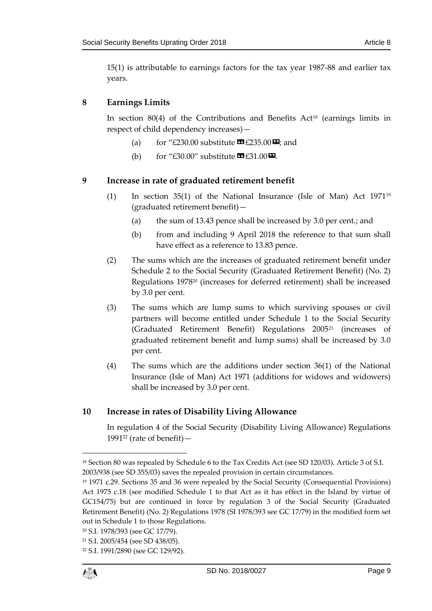15(1) is attributable to earnings factors for the tax year 1987-88 and earlier tax years.

# <span id="page-8-0"></span>**8 Earnings Limits**

In section  $80(4)$  of the Contributions and Benefits Act<sup>18</sup> (earnings limits in respect of child dependency increases)—

- (a) for "£230.00 substitute  $\mathbf{\Omega}$  £235.00 $\mathbf{\Sigma}$ ; and
- (b) for "£30.00" substitute  $\mathbf{C}$  £31.00 $\mathbf{D}$ .

# <span id="page-8-1"></span>**9 Increase in rate of graduated retirement benefit**

- (1) In section 35(1) of the National Insurance (Isle of Man) Act 1971<sup>19</sup> (graduated retirement benefit)—
	- (a) the sum of 13.43 pence shall be increased by 3.0 per cent.; and
	- (b) from and including 9 April 2018 the reference to that sum shall have effect as a reference to 13.83 pence.
- (2) The sums which are the increases of graduated retirement benefit under Schedule 2 to the Social Security (Graduated Retirement Benefit) (No. 2) Regulations 1978<sup>20</sup> (increases for deferred retirement) shall be increased by 3.0 per cent.
- (3) The sums which are lump sums to which surviving spouses or civil partners will become entitled under Schedule 1 to the Social Security (Graduated Retirement Benefit) Regulations 2005<sup>21</sup> (increases of graduated retirement benefit and lump sums) shall be increased by 3.0 per cent.
- (4) The sums which are the additions under section 36(1) of the National Insurance (Isle of Man) Act 1971 (additions for widows and widowers) shall be increased by 3.0 per cent.

# <span id="page-8-2"></span>**10 Increase in rates of Disability Living Allowance**

In regulation 4 of the Social Security (Disability Living Allowance) Regulations 1991<sup>22</sup> (rate of benefit)  $-$ 

<sup>&</sup>lt;sup>18</sup> Section 80 was repealed by Schedule 6 to the Tax Credits Act (see SD 120/03). Article 3 of S.I. 2003/938 (see SD 355/03) saves the repealed provision in certain circumstances.

<sup>19</sup> 1971 c.29. Sections 35 and 36 were repealed by the Social Security (Consequential Provisions) Act 1975 c.18 (see modified Schedule 1 to that Act as it has effect in the Island by virtue of GC154/75) but are continued in force by regulation 3 of the Social Security (Graduated Retirement Benefit) (No. 2) Regulations 1978 (SI 1978/393 see GC 17/79) in the modified form set out in Schedule 1 to those Regulations.

<sup>20</sup> S.I. 1978/393 (see GC 17/79).

<sup>21</sup> S.I. 2005/454 (see SD 438/05).

<sup>22</sup> S.I. 1991/2890 (see GC 129/92).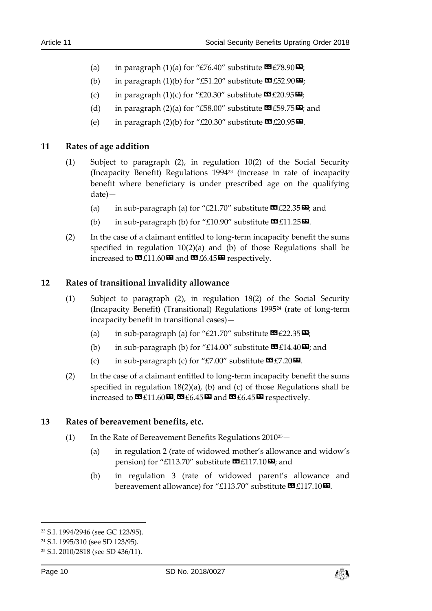- (a) in paragraph (1)(a) for "£76.40" substitute  $\mathbf{\mathfrak{m}}$  £78.90 $\mathbf{\mathfrak{m}}$ ;
- (b) in paragraph (1)(b) for "£51.20" substitute  $\mathbf{\mathfrak{m}}$  £52.90 $\mathbf{\mathfrak{m}}$ ;
- (c) in paragraph (1)(c) for "£20.30" substitute  $\mathbf{\mathfrak{m}}$  £20.95 $\mathbf{\mathfrak{m}}$ ;
- (d) in paragraph (2)(a) for "£58.00" substitute  $\mathbf{\Omega}$  £59.75 $\mathbf{\Sigma}$ ; and
- (e) in paragraph (2)(b) for "£20.30" substitute  $\mathbf{\mathfrak{m}}$  £20.95 $\mathbf{\mathfrak{D}}$ .

#### <span id="page-9-0"></span>**11 Rates of age addition**

- (1) Subject to paragraph (2), in regulation 10(2) of the Social Security (Incapacity Benefit) Regulations 1994<sup>23</sup> (increase in rate of incapacity benefit where beneficiary is under prescribed age on the qualifying date)—
	- (a) in sub-paragraph (a) for "£21.70" substitute  $\mathbf{C}$  £22.35 $\mathbf{E}$ ; and
	- (b) in sub-paragraph (b) for "£10.90" substitute  $\mathbf{E}[11.25\mathbf{E}]$ .
- (2) In the case of a claimant entitled to long-term incapacity benefit the sums specified in regulation 10(2)(a) and (b) of those Regulations shall be increased to  $\mathbf{C}$  £11.60 $\mathbf{D}$  and  $\mathbf{C}$  £6.45 $\mathbf{D}$  respectively.

#### <span id="page-9-1"></span>**12 Rates of transitional invalidity allowance**

- (1) Subject to paragraph (2), in regulation 18(2) of the Social Security (Incapacity Benefit) (Transitional) Regulations 1995<sup>24</sup> (rate of long-term incapacity benefit in transitional cases)—
	- (a) in sub-paragraph (a) for "£21.70" substitute  $\mathbf{C}$  £22.35 $\mathbf{E}$ ;
	- (b) in sub-paragraph (b) for "£14.00" substitute  $\mathbf{C}$  £14.40 $\mathbf{E}$ ; and
	- (c) in sub-paragraph (c) for "£7.00" substitute  $\mathbf{C}$  £7.20 $\mathbf{D}$ .
- (2) In the case of a claimant entitled to long-term incapacity benefit the sums specified in regulation 18(2)(a), (b) and (c) of those Regulations shall be increased to  $\mathbf{C}$   $\mathbf{f}$  11.60 $\mathbf{E}$ ,  $\mathbf{C}$   $\mathbf{f}$  6.45 $\mathbf{E}$  and  $\mathbf{C}$   $\mathbf{f}$   $\mathbf{f}$   $\mathbf{f}$  and  $\mathbf{F}$   $\mathbf{f}$  and  $\mathbf{f}$   $\mathbf{f}$  and  $\mathbf{f}$   $\mathbf{f}$  and  $\mathbf{f}$   $\mathbf{f}$  and  $\mathbf{f}$   $\math$

#### <span id="page-9-2"></span>**13 Rates of bereavement benefits, etc.**

- (1) In the Rate of Bereavement Benefits Regulations  $2010^{25} -$ 
	- (a) in regulation 2 (rate of widowed mother's allowance and widow's pension) for "£113.70" substitute  $\mathbf{\Omega}$ £117.10 $\mathbf{\Omega}$ ; and
	- (b) in regulation 3 (rate of widowed parent's allowance and bereavement allowance) for "£113.70" substitute  $\mathbf{E}[117.10\mathbf{E}]$ .



<sup>23</sup> S.I. 1994/2946 (see GC 123/95).

<sup>24</sup> S.I. 1995/310 (see SD 123/95).

<sup>25</sup> S.I. 2010/2818 (see SD 436/11).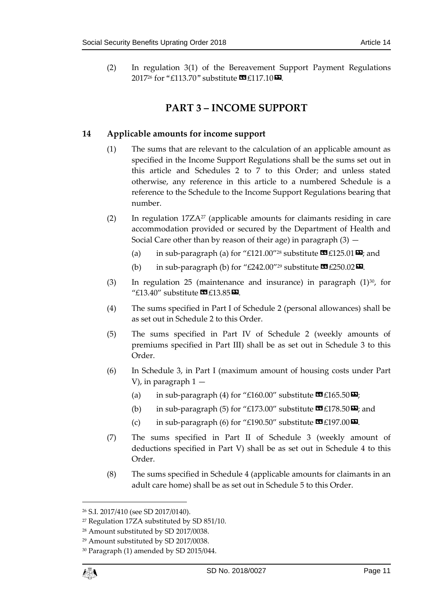<span id="page-10-0"></span>(2) In regulation 3(1) of the Bereavement Support Payment Regulations 2017<sup>26</sup> for "£113.70" substitute  $\mathbf{G}$ £117.10 $\mathbf{D}$ .

# **PART 3 – INCOME SUPPORT**

# <span id="page-10-1"></span>**14 Applicable amounts for income support**

- (1) The sums that are relevant to the calculation of an applicable amount as specified in the Income Support Regulations shall be the sums set out in this article and Schedules 2 to 7 to this Order; and unless stated otherwise, any reference in this article to a numbered Schedule is a reference to the Schedule to the Income Support Regulations bearing that number.
- (2) In regulation  $17ZA^{27}$  (applicable amounts for claimants residing in care accommodation provided or secured by the Department of Health and Social Care other than by reason of their age) in paragraph  $(3)$  -
	- (a) in sub-paragraph (a) for "£121.00"<sup>28</sup> substitute  $\mathbf{E}$ £125.01 $\mathbf{E}$ ; and
	- (b) in sub-paragraph (b) for "£242.00"<sup>29</sup> substitute  $\mathbf{\mathfrak{C}}$  £250.02 $\mathbf{\mathfrak{D}}$ .
- (3) In regulation 25 (maintenance and insurance) in paragraph  $(1)^{30}$ , for " $£13.40$ " substitute  $\mathbf{E}$ £13.85 $\mathbf{E}$ .
- (4) The sums specified in Part I of Schedule 2 (personal allowances) shall be as set out in Schedule 2 to this Order.
- (5) The sums specified in Part IV of Schedule 2 (weekly amounts of premiums specified in Part III) shall be as set out in Schedule 3 to this Order.
- (6) In Schedule 3, in Part I (maximum amount of housing costs under Part V), in paragraph 1 —
	- (a) in sub-paragraph (4) for "£160.00" substitute  $\mathbf{G}$  £165.50 $\mathbf{E}$ ;
	- (b) in sub-paragraph (5) for "£173.00" substitute  $\mathbf{C}$  £178.50 $\mathbf{E}$ ; and
	- (c) in sub-paragraph (6) for "£190.50" substitute  $\mathbf{\mathfrak{B}}$  £197.00 $\mathbf{\mathfrak{D}}$ .
- (7) The sums specified in Part II of Schedule 3 (weekly amount of deductions specified in Part V) shall be as set out in Schedule 4 to this Order.
- (8) The sums specified in Schedule 4 (applicable amounts for claimants in an adult care home) shall be as set out in Schedule 5 to this Order.

<sup>26</sup> S.I. 2017/410 (see SD 2017/0140).

<sup>27</sup> Regulation 17ZA substituted by SD 851/10.

<sup>28</sup> Amount substituted by SD 2017/0038.

<sup>29</sup> Amount substituted by SD 2017/0038.

<sup>30</sup> Paragraph (1) amended by SD 2015/044.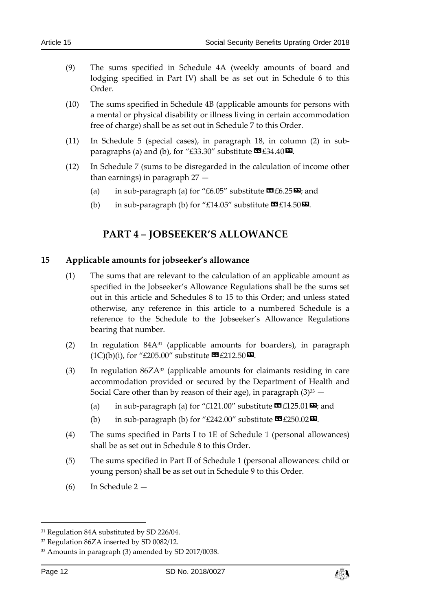- (9) The sums specified in Schedule 4A (weekly amounts of board and lodging specified in Part IV) shall be as set out in Schedule 6 to this Order.
- (10) The sums specified in Schedule 4B (applicable amounts for persons with a mental or physical disability or illness living in certain accommodation free of charge) shall be as set out in Schedule 7 to this Order.
- (11) In Schedule 5 (special cases), in paragraph 18, in column (2) in subparagraphs (a) and (b), for "£33.30" substitute  $\mathbf{\mathfrak{B}}$  £34.40 $\mathbf{\mathfrak{D}}$ .
- (12) In Schedule 7 (sums to be disregarded in the calculation of income other than earnings) in paragraph 27 —
	- (a) in sub-paragraph (a) for "£6.05" substitute  $\mathbf{C}$  £6.25 $\mathbf{E}$ ; and
	- (b) in sub-paragraph (b) for "£14.05" substitute  $\mathbf{\Omega}$  £14.50 $\mathbf{\Omega}$ .

# **PART 4 – JOBSEEKER'S ALLOWANCE**

#### <span id="page-11-1"></span><span id="page-11-0"></span>**15 Applicable amounts for jobseeker's allowance**

- (1) The sums that are relevant to the calculation of an applicable amount as specified in the Jobseeker's Allowance Regulations shall be the sums set out in this article and Schedules 8 to 15 to this Order; and unless stated otherwise, any reference in this article to a numbered Schedule is a reference to the Schedule to the Jobseeker's Allowance Regulations bearing that number.
- (2) In regulation 84A<sup>31</sup> (applicable amounts for boarders), in paragraph  $(1C)(b)(i)$ , for "£205.00" substitute  $\mathbb{Z}$  £212.50 $\mathbb{Z}$ .
- (3) In regulation  $86ZA^{32}$  (applicable amounts for claimants residing in care accommodation provided or secured by the Department of Health and Social Care other than by reason of their age), in paragraph  $(3)^{33}$  -
	- (a) in sub-paragraph (a) for "£121.00" substitute  $\mathbf{\mathfrak{B}}$  £125.01 $\mathbf{\mathfrak{D}}$ ; and
	- (b) in sub-paragraph (b) for "£242.00" substitute  $\mathbf{\mathcal{F}}$  £250.02 $\mathbf{\mathcal{F}}$ .
- (4) The sums specified in Parts I to 1E of Schedule 1 (personal allowances) shall be as set out in Schedule 8 to this Order.
- (5) The sums specified in Part II of Schedule 1 (personal allowances: child or young person) shall be as set out in Schedule 9 to this Order.
- (6) In Schedule 2 —



<sup>&</sup>lt;sup>31</sup> Regulation 84A substituted by SD 226/04.

<sup>32</sup> Regulation 86ZA inserted by SD 0082/12.

<sup>33</sup> Amounts in paragraph (3) amended by SD 2017/0038.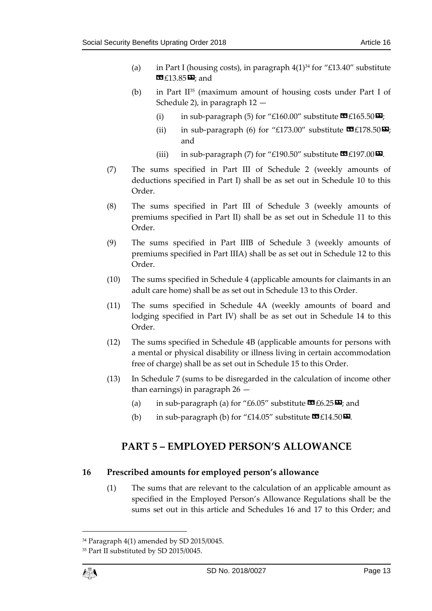- (a) in Part I (housing costs), in paragraph  $4(1)^{34}$  for "£13.40" substitute  $E13.85D$ ; and
- (b) in Part  $II^{35}$  (maximum amount of housing costs under Part I of Schedule 2), in paragraph 12 —
	- (i) in sub-paragraph (5) for "£160.00" substitute  $\mathbf{C}$  £165.50 $\mathbf{E}$ ;
	- (ii) in sub-paragraph (6) for "£173.00" substitute  $\mathbf{E}$ £178.50 $\mathbf{E}$ ; and
	- (iii) in sub-paragraph (7) for "£190.50" substitute  $\mathbb{Z}$  £197.00 $\mathbb{Z}$ .
- (7) The sums specified in Part III of Schedule 2 (weekly amounts of deductions specified in Part I) shall be as set out in Schedule 10 to this Order.
- (8) The sums specified in Part III of Schedule 3 (weekly amounts of premiums specified in Part II) shall be as set out in Schedule 11 to this Order.
- (9) The sums specified in Part IIIB of Schedule 3 (weekly amounts of premiums specified in Part IIIA) shall be as set out in Schedule 12 to this Order.
- (10) The sums specified in Schedule 4 (applicable amounts for claimants in an adult care home) shall be as set out in Schedule 13 to this Order.
- (11) The sums specified in Schedule 4A (weekly amounts of board and lodging specified in Part IV) shall be as set out in Schedule 14 to this Order.
- (12) The sums specified in Schedule 4B (applicable amounts for persons with a mental or physical disability or illness living in certain accommodation free of charge) shall be as set out in Schedule 15 to this Order.
- (13) In Schedule 7 (sums to be disregarded in the calculation of income other than earnings) in paragraph 26 —
	- (a) in sub-paragraph (a) for "£6.05" substitute  $\mathbf{C}$  £6.25 $\mathbf{E}$ ; and
	- (b) in sub-paragraph (b) for "£14.05" substitute  $\mathbf{G}$  £14.50 $\mathbf{D}$ .

# <span id="page-12-0"></span>**PART 5 – EMPLOYED PERSON'S ALLOWANCE**

# <span id="page-12-1"></span>**16 Prescribed amounts for employed person's allowance**

(1) The sums that are relevant to the calculation of an applicable amount as specified in the Employed Person's Allowance Regulations shall be the sums set out in this article and Schedules 16 and 17 to this Order; and

<sup>34</sup> Paragraph 4(1) amended by SD 2015/0045.

<sup>35</sup> Part II substituted by SD 2015/0045.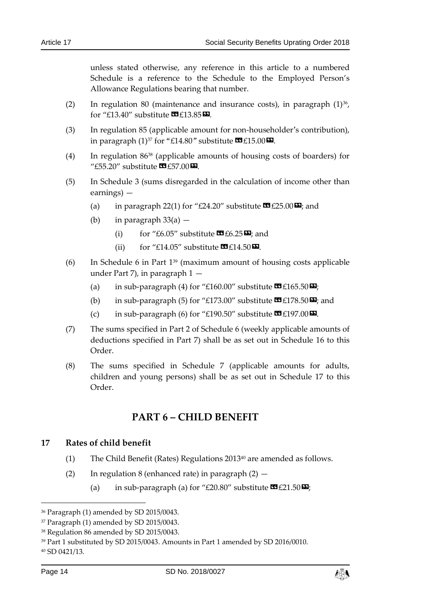unless stated otherwise, any reference in this article to a numbered Schedule is a reference to the Schedule to the Employed Person's Allowance Regulations bearing that number.

- (2) In regulation 80 (maintenance and insurance costs), in paragraph  $(1)^{36}$ , for "£13.40" substitute  $\mathbf{E}[13.85]$   $\mathbf{E}$ .
- (3) In regulation 85 (applicable amount for non-householder's contribution), in paragraph  $(1)^{37}$  for "£14.80" substitute  $\mathbb{E}[15.00]$ .
- (4) In regulation 86<sup>38</sup> (applicable amounts of housing costs of boarders) for " $£55.20$ " substitute  $\mathbf{\mathfrak{C}}$  £57.00 $\mathbf{\mathfrak{D}}$ .
- (5) In Schedule 3 (sums disregarded in the calculation of income other than earnings) —
	- (a) in paragraph 22(1) for "£24.20" substitute  $\mathbf{\Omega}$  £25.00 $\mathbf{\Sigma}$ ; and
	- (b) in paragraph  $33(a)$ 
		- (i) for "£6.05" substitute  $\mathbf{C1}$  £6.25 $\mathbf{E}$ ; and
		- (ii) for "£14.05" substitute  $\mathbf{G}$ £14.50 $\mathbf{E}$ .
- (6) In Schedule 6 in Part  $1^{39}$  (maximum amount of housing costs applicable under Part 7), in paragraph 1 —
	- (a) in sub-paragraph (4) for "£160.00" substitute  $\mathbf{\mathcal{F}}$  £165.50 $\mathbf{\mathcal{F}}$ ;
	- (b) in sub-paragraph (5) for "£173.00" substitute  $\mathbf{C}$  £178.50 $\mathbf{E}$ ; and
	- (c) in sub-paragraph (6) for "£190.50" substitute  $\mathbf{C}$  £197.00 $\mathbf{D}$ .
- (7) The sums specified in Part 2 of Schedule 6 (weekly applicable amounts of deductions specified in Part 7) shall be as set out in Schedule 16 to this Order.
- <span id="page-13-0"></span>(8) The sums specified in Schedule 7 (applicable amounts for adults, children and young persons) shall be as set out in Schedule 17 to this Order.

# **PART 6 – CHILD BENEFIT**

#### <span id="page-13-1"></span>**17 Rates of child benefit**

- (1) The Child Benefit (Rates) Regulations 2013<sup>40</sup> are amended as follows.
- (2) In regulation 8 (enhanced rate) in paragraph  $(2)$  -
	- (a) in sub-paragraph (a) for "£20.80" substitute  $\mathbf{C}$  £21.50 $\mathbf{E}$ ;



<sup>36</sup> Paragraph (1) amended by SD 2015/0043.

<sup>37</sup> Paragraph (1) amended by SD 2015/0043.

<sup>38</sup> Regulation 86 amended by SD 2015/0043.

<sup>39</sup> Part 1 substituted by SD 2015/0043. Amounts in Part 1 amended by SD 2016/0010.

<sup>40</sup> SD 0421/13.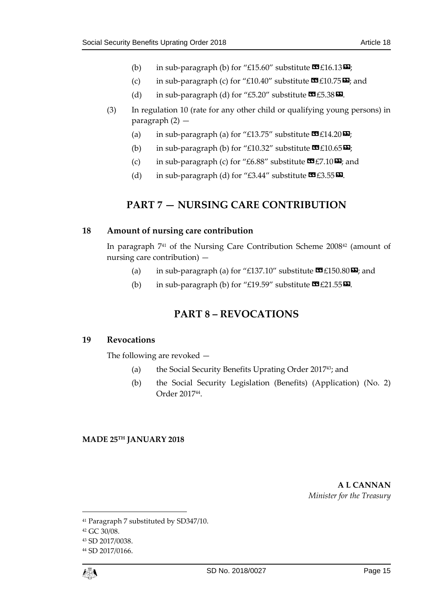- (b) in sub-paragraph (b) for "£15.60" substitute  $\mathbf{C}$ £16.13 $\mathbf{D}$ ;
- (c) in sub-paragraph (c) for "£10.40" substitute  $\mathbf{\mathcal{F}}$  £10.75 $\mathbf{\mathcal{D}}$ ; and
- (d) in sub-paragraph (d) for "£5.20" substitute  $\mathbf{C}$  £5.38 $\mathbf{D}$ .
- (3) In regulation 10 (rate for any other child or qualifying young persons) in paragraph (2) —
	- (a) in sub-paragraph (a) for "£13.75" substitute  $\mathbf{C}$ £14.20 $\mathbf{D}$ ;
	- (b) in sub-paragraph (b) for "£10.32" substitute  $\mathbf{E}[10.65\mathbf{E}]$ ;
	- (c) in sub-paragraph (c) for "£6.88" substitute  $\mathbf{C}$  £7.10 $\mathbf{E}$ ; and
	- (d) in sub-paragraph (d) for "£3.44" substitute  $\mathbf{C}$  £3.55 $\mathbf{D}$ .

# **PART 7 — NURSING CARE CONTRIBUTION**

#### <span id="page-14-1"></span><span id="page-14-0"></span>**18 Amount of nursing care contribution**

In paragraph  $741$  of the Nursing Care Contribution Scheme 2008<sup>42</sup> (amount of nursing care contribution) —

- (a) in sub-paragraph (a) for "£137.10" substitute  $\mathbf{\mathcal{F}}$  £150.80 $\mathbf{\mathcal{F}}$ ; and
- (b) in sub-paragraph (b) for "£19.59" substitute  $\mathbf{C}$  £21.55 $\mathbf{\Sigma}$ .

# **PART 8 – REVOCATIONS**

# <span id="page-14-3"></span><span id="page-14-2"></span>**19 Revocations**

The following are revoked —

- (a) the Social Security Benefits Uprating Order 2017 <sup>43</sup>; and
- (b) the Social Security Legislation (Benefits) (Application) (No. 2) Order 2017<sup>44</sup> .

# **MADE 25TH JANUARY 2018**

**A L CANNAN** *Minister for the Treasury*

<sup>44</sup> SD 2017/0166.



<sup>41</sup> Paragraph 7 substituted by SD347/10.

<sup>42</sup> GC 30/08.

<sup>43</sup> SD 2017/0038.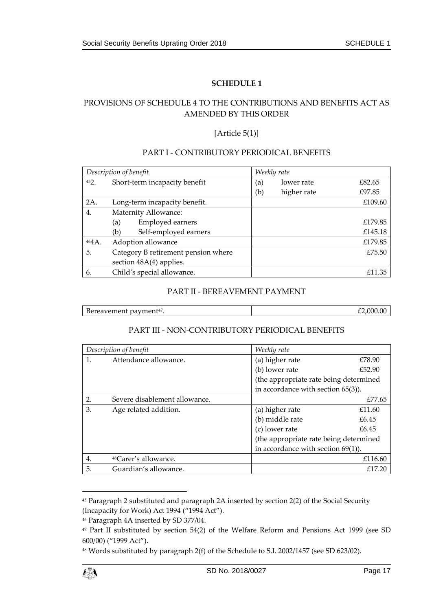# <span id="page-16-1"></span><span id="page-16-0"></span>PROVISIONS OF SCHEDULE 4 TO THE CONTRIBUTIONS AND BENEFITS ACT AS AMENDED BY THIS ORDER

### [Article 5(1)]

#### PART I - CONTRIBUTORY PERIODICAL BENEFITS

| Description of benefit |                                     |                               | Weekly rate |             |         |
|------------------------|-------------------------------------|-------------------------------|-------------|-------------|---------|
| 452.                   |                                     | Short-term incapacity benefit | (a)         | lower rate  | £82.65  |
|                        |                                     |                               | (b)         | higher rate | £97.85  |
| 2A.                    | Long-term incapacity benefit.       |                               |             |             | £109.60 |
| 4.                     |                                     | Maternity Allowance:          |             |             |         |
|                        | (a)                                 | Employed earners              |             |             | £179.85 |
|                        | (b)                                 | Self-employed earners         |             |             | £145.18 |
| 464A.                  | Adoption allowance                  |                               |             |             | £179.85 |
| 5.                     | Category B retirement pension where |                               |             |             | £75.50  |
|                        | section 48A(4) applies.             |                               |             |             |         |
| 6.                     |                                     | Child's special allowance.    |             |             | £11.35  |

#### PART II - BEREAVEMENT PAYMENT

| $\mathbf{r}$<br><br>ereavement pavment <sup>47</sup> .<br>-be* | ( )( |
|----------------------------------------------------------------|------|
|                                                                |      |

# PART III - NON-CONTRIBUTORY PERIODICAL BENEFITS

| Description of benefit |                                  | Weekly rate                            |                                        |  |
|------------------------|----------------------------------|----------------------------------------|----------------------------------------|--|
| 1.                     | Attendance allowance.            | (a) higher rate                        | £78.90                                 |  |
|                        |                                  | (b) lower rate                         | £52.90                                 |  |
|                        |                                  | (the appropriate rate being determined |                                        |  |
|                        |                                  | in accordance with section 65(3)).     |                                        |  |
| 2.                     | Severe disablement allowance.    |                                        | £77.65                                 |  |
| 3.                     | Age related addition.            | (a) higher rate                        | £11.60                                 |  |
|                        |                                  | (b) middle rate                        | £6.45                                  |  |
|                        |                                  | (c) lower rate                         | £6.45                                  |  |
|                        |                                  |                                        | (the appropriate rate being determined |  |
|                        |                                  | in accordance with section $69(1)$ ).  |                                        |  |
| $\overline{4}$ .       | <sup>48</sup> Carer's allowance. |                                        | £116.60                                |  |
| 5.                     | Guardian's allowance.            |                                        | £17.20                                 |  |

<sup>45</sup> Paragraph 2 substituted and paragraph 2A inserted by section 2(2) of the Social Security (Incapacity for Work) Act 1994 ("1994 Act").

<sup>48</sup> Words substituted by paragraph 2(f) of the Schedule to S.I. 2002/1457 (see SD 623/02).



 $\overline{a}$ 

<sup>46</sup> Paragraph 4A inserted by SD 377/04.

<sup>47</sup> Part II substituted by section 54(2) of the Welfare Reform and Pensions Act 1999 (see SD 600/00) ("1999 Act").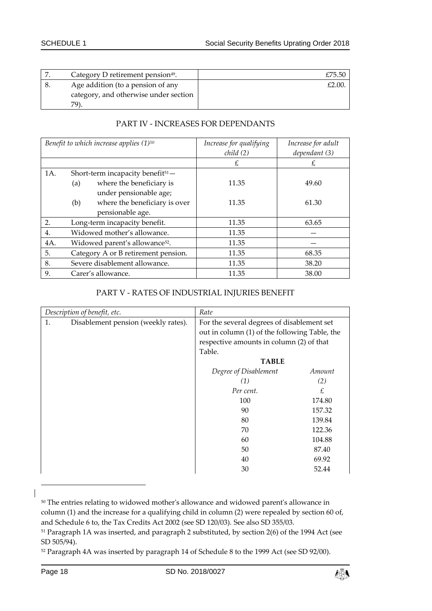| Category D retirement pension <sup>49</sup> . | £75.50 |
|-----------------------------------------------|--------|
| Age addition (to a pension of any             |        |
| category, and otherwise under section         |        |
| 79).                                          |        |

# PART IV - INCREASES FOR DEPENDANTS

| Benefit to which increase applies $(1)^{50}$ |     |                                               | Increase for qualifying<br>child(2) | Increase for adult<br>dependant (3) |  |
|----------------------------------------------|-----|-----------------------------------------------|-------------------------------------|-------------------------------------|--|
|                                              |     |                                               | £                                   | £                                   |  |
| 1A.                                          |     | Short-term incapacity benefit <sup>51</sup> - |                                     |                                     |  |
|                                              | (a) | where the beneficiary is                      | 11.35                               | 49.60                               |  |
|                                              |     | under pensionable age;                        |                                     |                                     |  |
|                                              | (b) | where the beneficiary is over                 | 11.35                               | 61.30                               |  |
|                                              |     | pensionable age.                              |                                     |                                     |  |
| 2.                                           |     | Long-term incapacity benefit.                 | 11.35                               | 63.65                               |  |
| 4.                                           |     | Widowed mother's allowance.                   | 11.35                               |                                     |  |
| 4A.                                          |     | Widowed parent's allowance <sup>52</sup> .    | 11.35                               |                                     |  |
| 5.                                           |     | Category A or B retirement pension.           | 11.35                               | 68.35                               |  |
| 8.                                           |     | Severe disablement allowance.                 | 11.35                               | 38.20                               |  |
| 9.                                           |     | Carer's allowance.                            | 11.35                               | 38.00                               |  |

#### PART V - RATES OF INDUSTRIAL INJURIES BENEFIT

| Description of benefit, etc. |                                     | Rate                                          |        |  |
|------------------------------|-------------------------------------|-----------------------------------------------|--------|--|
| 1.                           | Disablement pension (weekly rates). | For the several degrees of disablement set    |        |  |
|                              |                                     | out in column (1) of the following Table, the |        |  |
|                              |                                     | respective amounts in column (2) of that      |        |  |
|                              |                                     | Table.                                        |        |  |
|                              |                                     | <b>TABLE</b>                                  |        |  |
|                              |                                     | Degree of Disablement                         | Amount |  |
|                              |                                     | (1)                                           | (2)    |  |
|                              |                                     | Per cent.                                     | £      |  |
|                              |                                     | 100                                           | 174.80 |  |
|                              |                                     | 90                                            | 157.32 |  |
|                              |                                     | 80                                            | 139.84 |  |
|                              |                                     | 70                                            | 122.36 |  |
|                              |                                     | 60                                            | 104.88 |  |
|                              |                                     | 50                                            | 87.40  |  |
|                              |                                     | 40                                            | 69.92  |  |
|                              |                                     | 30                                            | 52.44  |  |

<sup>50</sup> The entries relating to widowed mother's allowance and widowed parent's allowance in column (1) and the increase for a qualifying child in column (2) were repealed by section 60 of, and Schedule 6 to, the Tax Credits Act 2002 (see SD 120/03). See also SD 355/03.



<sup>51</sup> Paragraph 1A was inserted, and paragraph 2 substituted, by section 2(6) of the 1994 Act (see SD 505/94).

<sup>52</sup> Paragraph 4A was inserted by paragraph 14 of Schedule 8 to the 1999 Act (see SD 92/00).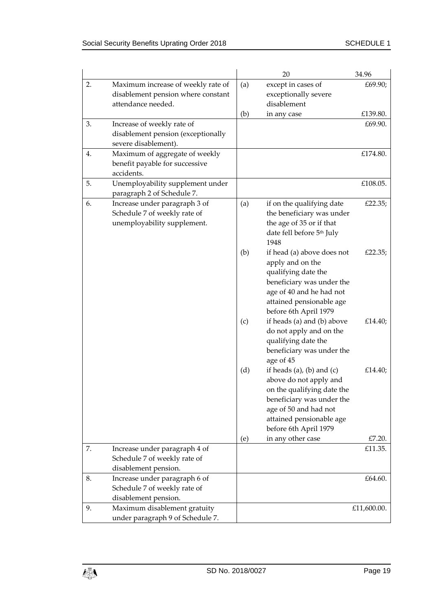|    |                                                                                              |     | 20                                                                                                                                                                                           | 34.96       |
|----|----------------------------------------------------------------------------------------------|-----|----------------------------------------------------------------------------------------------------------------------------------------------------------------------------------------------|-------------|
| 2. | Maximum increase of weekly rate of<br>disablement pension where constant                     | (a) | except in cases of<br>exceptionally severe                                                                                                                                                   | £69.90;     |
|    | attendance needed.                                                                           | (b) | disablement<br>in any case                                                                                                                                                                   | £139.80.    |
| 3. | Increase of weekly rate of<br>disablement pension (exceptionally<br>severe disablement).     |     |                                                                                                                                                                                              | £69.90.     |
| 4. | Maximum of aggregate of weekly<br>benefit payable for successive<br>accidents.               |     |                                                                                                                                                                                              | £174.80.    |
| 5. | Unemployability supplement under<br>paragraph 2 of Schedule 7.                               |     |                                                                                                                                                                                              | £108.05.    |
| 6. | Increase under paragraph 3 of<br>Schedule 7 of weekly rate of<br>unemployability supplement. | (a) | if on the qualifying date<br>the beneficiary was under<br>the age of 35 or if that<br>date fell before 5th July<br>1948                                                                      | £22.35;     |
|    |                                                                                              | (b) | if head (a) above does not<br>apply and on the<br>qualifying date the<br>beneficiary was under the<br>age of 40 and he had not<br>attained pensionable age<br>before 6th April 1979          | £22.35;     |
|    |                                                                                              | (c) | if heads (a) and (b) above<br>do not apply and on the<br>qualifying date the<br>beneficiary was under the<br>age of 45                                                                       | £14.40;     |
|    |                                                                                              | (d) | if heads (a), (b) and (c)<br>above do not apply and<br>on the qualifying date the<br>beneficiary was under the<br>age of 50 and had not<br>attained pensionable age<br>before 6th April 1979 | £14.40;     |
|    |                                                                                              | (e) | in any other case                                                                                                                                                                            | £7.20.      |
| 7. | Increase under paragraph 4 of<br>Schedule 7 of weekly rate of<br>disablement pension.        |     |                                                                                                                                                                                              | £11.35.     |
| 8. | Increase under paragraph 6 of<br>Schedule 7 of weekly rate of<br>disablement pension.        |     |                                                                                                                                                                                              | £64.60.     |
| 9. | Maximum disablement gratuity<br>under paragraph 9 of Schedule 7.                             |     |                                                                                                                                                                                              | £11,600.00. |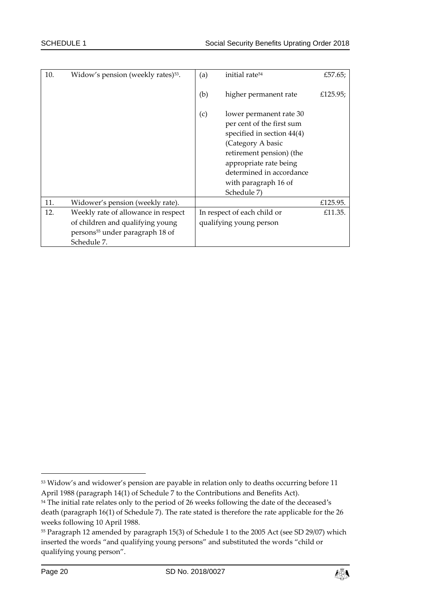| 10. | Widow's pension (weekly rates) <sup>53</sup> .                                                 | (a) | initial rate <sup>54</sup>                                                                                                                                                                                                       | £57.65;  |
|-----|------------------------------------------------------------------------------------------------|-----|----------------------------------------------------------------------------------------------------------------------------------------------------------------------------------------------------------------------------------|----------|
|     |                                                                                                | (b) | higher permanent rate                                                                                                                                                                                                            | £125.95; |
|     |                                                                                                | (c) | lower permanent rate 30<br>per cent of the first sum<br>specified in section 44(4)<br>(Category A basic<br>retirement pension) (the<br>appropriate rate being<br>determined in accordance<br>with paragraph 16 of<br>Schedule 7) |          |
| 11. | Widower's pension (weekly rate).                                                               |     |                                                                                                                                                                                                                                  | £125.95. |
| 12. | Weekly rate of allowance in respect                                                            |     | In respect of each child or                                                                                                                                                                                                      | £11.35.  |
|     | of children and qualifying young<br>persons <sup>55</sup> under paragraph 18 of<br>Schedule 7. |     | qualifying young person                                                                                                                                                                                                          |          |



<sup>53</sup> Widow's and widower's pension are payable in relation only to deaths occurring before 11 April 1988 (paragraph 14(1) of Schedule 7 to the Contributions and Benefits Act).

<sup>&</sup>lt;sup>54</sup> The initial rate relates only to the period of 26 weeks following the date of the deceased's death (paragraph 16(1) of Schedule 7). The rate stated is therefore the rate applicable for the 26 weeks following 10 April 1988.

<sup>55</sup> Paragraph 12 amended by paragraph 15(3) of Schedule 1 to the 2005 Act (see SD 29/07) which inserted the words "and qualifying young persons" and substituted the words "child or qualifying young person".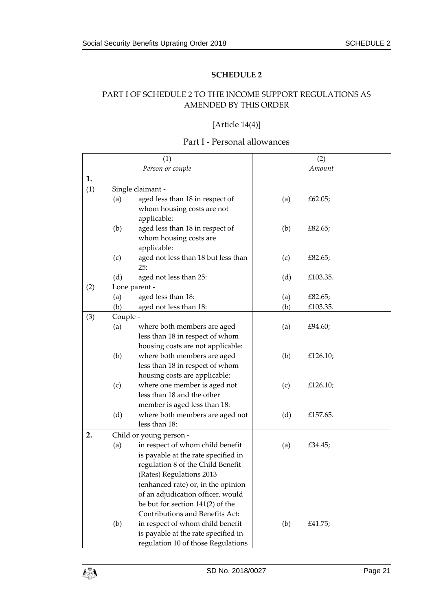# <span id="page-20-1"></span><span id="page-20-0"></span>PART I OF SCHEDULE 2 TO THE INCOME SUPPORT REGULATIONS AS AMENDED BY THIS ORDER

### [Article 14(4)]

# Part I - Personal allowances

|     |          | (1)                                 |     | (2)      |  |
|-----|----------|-------------------------------------|-----|----------|--|
|     |          | Person or couple                    |     | Amount   |  |
| 1.  |          |                                     |     |          |  |
| (1) |          | Single claimant -                   |     |          |  |
|     | (a)      | aged less than 18 in respect of     | (a) | £62.05;  |  |
|     |          | whom housing costs are not          |     |          |  |
|     |          | applicable:                         |     |          |  |
|     | (b)      | aged less than 18 in respect of     | (b) | £82.65;  |  |
|     |          | whom housing costs are              |     |          |  |
|     |          | applicable:                         |     |          |  |
|     | (c)      | aged not less than 18 but less than | (c) | £82.65;  |  |
|     |          | 25:                                 |     |          |  |
|     | (d)      | aged not less than 25:              | (d) | £103.35. |  |
| (2) |          | Lone parent -                       |     |          |  |
|     | (a)      | aged less than 18:                  | (a) | £82.65;  |  |
|     | (b)      | aged not less than 18:              | (b) | £103.35. |  |
| (3) | Couple - |                                     |     |          |  |
|     | (a)      | where both members are aged         | (a) | £94.60;  |  |
|     |          | less than 18 in respect of whom     |     |          |  |
|     |          | housing costs are not applicable:   |     |          |  |
|     | (b)      | where both members are aged         | (b) | £126.10; |  |
|     |          | less than 18 in respect of whom     |     |          |  |
|     |          | housing costs are applicable:       |     |          |  |
|     | (c)      | where one member is aged not        | (c) | £126.10; |  |
|     |          | less than 18 and the other          |     |          |  |
|     |          | member is aged less than 18:        |     |          |  |
|     | (d)      | where both members are aged not     | (d) | £157.65. |  |
|     |          | less than 18:                       |     |          |  |
| 2.  |          | Child or young person -             |     |          |  |
|     | (a)      | in respect of whom child benefit    | (a) | £34.45;  |  |
|     |          | is payable at the rate specified in |     |          |  |
|     |          | regulation 8 of the Child Benefit   |     |          |  |
|     |          | (Rates) Regulations 2013            |     |          |  |
|     |          | (enhanced rate) or, in the opinion  |     |          |  |
|     |          | of an adjudication officer, would   |     |          |  |
|     |          | be but for section 141(2) of the    |     |          |  |
|     |          | Contributions and Benefits Act:     |     |          |  |
|     | (b)      | in respect of whom child benefit    | (b) | £41.75;  |  |
|     |          | is payable at the rate specified in |     |          |  |
|     |          | regulation 10 of those Regulations  |     |          |  |

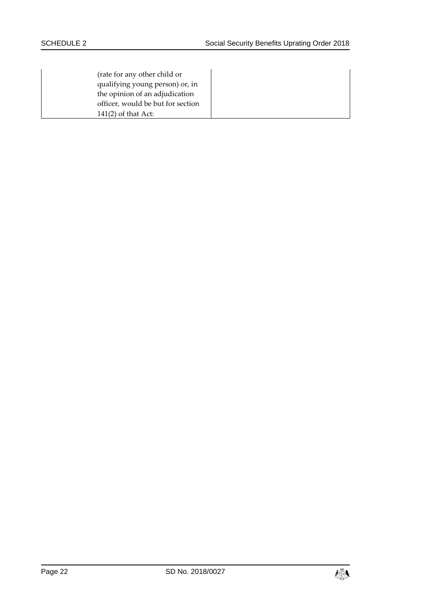| (rate for any other child or      |
|-----------------------------------|
| qualifying young person) or, in   |
| the opinion of an adjudication    |
| officer, would be but for section |
| $141(2)$ of that Act:             |

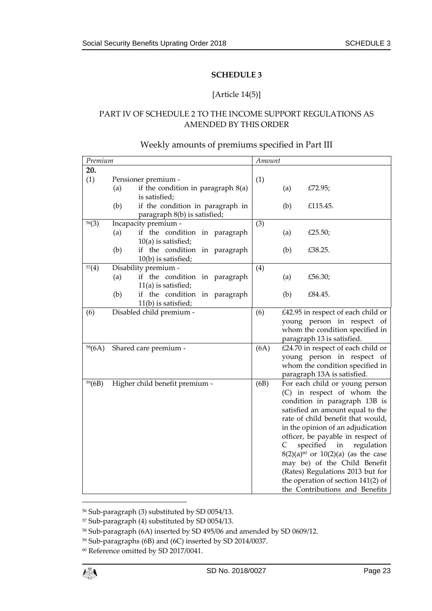#### [Article 14(5)]

### <span id="page-22-1"></span><span id="page-22-0"></span>PART IV OF SCHEDULE 2 TO THE INCOME SUPPORT REGULATIONS AS AMENDED BY THIS ORDER

# Weekly amounts of premiums specified in Part III

| Premium |     |                                                        | Amount |              |                                                                          |
|---------|-----|--------------------------------------------------------|--------|--------------|--------------------------------------------------------------------------|
| 20.     |     |                                                        |        |              |                                                                          |
| (1)     |     | Pensioner premium -                                    | (1)    |              |                                                                          |
|         | (a) | if the condition in paragraph 8(a)                     |        | (a)          | £72.95;                                                                  |
|         |     | is satisfied;                                          |        |              |                                                                          |
|         | (b) | if the condition in paragraph in                       |        | (b)          | £115.45.                                                                 |
|         |     | paragraph 8(b) is satisfied;                           |        |              |                                                                          |
| 56(3)   |     | Incapacity premium -                                   | (3)    |              |                                                                          |
|         | (a) | if the condition in paragraph                          |        | (a)          | £25.50;                                                                  |
|         | (b) | $10(a)$ is satisfied;<br>if the condition in paragraph |        | (b)          | £38.25.                                                                  |
|         |     | 10(b) is satisfied;                                    |        |              |                                                                          |
| 57(4)   |     | Disability premium -                                   | (4)    |              |                                                                          |
|         | (a) | if the condition in paragraph                          |        | (a)          | £56.30;                                                                  |
|         |     | $11(a)$ is satisfied;                                  |        |              |                                                                          |
|         | (b) | if the condition in paragraph                          |        | (b)          | £84.45.                                                                  |
|         |     | 11(b) is satisfied;                                    |        |              |                                                                          |
| (6)     |     | Disabled child premium -                               | (6)    |              | £42.95 in respect of each child or                                       |
|         |     |                                                        |        |              | young person in respect of                                               |
|         |     |                                                        |        |              | whom the condition specified in                                          |
|         |     |                                                        |        |              | paragraph 13 is satisfied.                                               |
| 58(6A)  |     | Shared care premium -                                  | (6A)   |              | £24.70 in respect of each child or                                       |
|         |     |                                                        |        |              | young person in respect of<br>whom the condition specified in            |
|         |     |                                                        |        |              | paragraph 13A is satisfied.                                              |
| 59(6B)  |     | Higher child benefit premium -                         | (6B)   |              | For each child or young person                                           |
|         |     |                                                        |        |              | (C) in respect of whom the                                               |
|         |     |                                                        |        |              | condition in paragraph 13B is                                            |
|         |     |                                                        |        |              | satisfied an amount equal to the                                         |
|         |     |                                                        |        |              | rate of child benefit that would,                                        |
|         |     |                                                        |        |              | in the opinion of an adjudication                                        |
|         |     |                                                        |        |              | officer, be payable in respect of                                        |
|         |     |                                                        |        | $\mathsf{C}$ | specified<br>regulation<br>in                                            |
|         |     |                                                        |        |              | $8(2)(a)^{60}$ or $10(2)(a)$ (as the case                                |
|         |     |                                                        |        |              | may be) of the Child Benefit                                             |
|         |     |                                                        |        |              | (Rates) Regulations 2013 but for<br>the operation of section $141(2)$ of |
|         |     |                                                        |        |              | the Contributions and Benefits                                           |
|         |     |                                                        |        |              |                                                                          |

<sup>56</sup> Sub-paragraph (3) substituted by SD 0054/13.

<sup>57</sup> Sub-paragraph (4) substituted by SD 0054/13.

<sup>58</sup> Sub-paragraph (6A) inserted by SD 495/06 and amended by SD 0609/12.

<sup>59</sup> Sub-paragraphs (6B) and (6C) inserted by SD 2014/0037.

<sup>60</sup> Reference omitted by SD 2017/0041.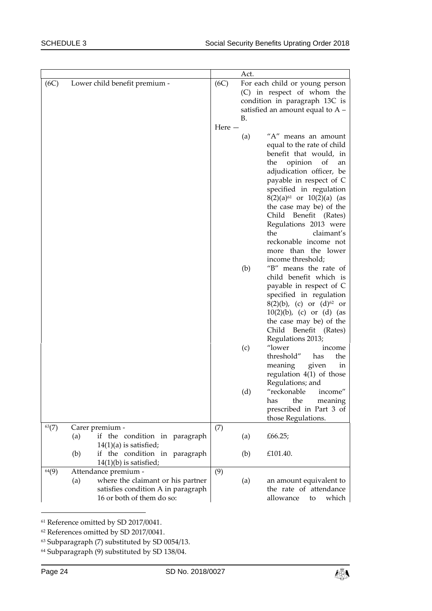|            |     |                                                                                                      |                  | Act.                           |                                                                                                                                                                                                                                                                                                                                                                                                                                                                                                                                                                                                                                                                                                                                                                                                                                                                                                                                                                                                           |
|------------|-----|------------------------------------------------------------------------------------------------------|------------------|--------------------------------|-----------------------------------------------------------------------------------------------------------------------------------------------------------------------------------------------------------------------------------------------------------------------------------------------------------------------------------------------------------------------------------------------------------------------------------------------------------------------------------------------------------------------------------------------------------------------------------------------------------------------------------------------------------------------------------------------------------------------------------------------------------------------------------------------------------------------------------------------------------------------------------------------------------------------------------------------------------------------------------------------------------|
| (6C)       |     | Lower child benefit premium -                                                                        | (6C)<br>Here $-$ | В.<br>(a)<br>(b)<br>(c)<br>(d) | For each child or young person<br>(C) in respect of whom the<br>condition in paragraph 13C is<br>satisfied an amount equal to $A -$<br>"A" means an amount<br>equal to the rate of child<br>benefit that would, in<br>opinion<br>of<br>the<br>an<br>adjudication officer, be<br>payable in respect of C<br>specified in regulation<br>$8(2)(a)^{61}$ or $10(2)(a)$ (as<br>the case may be) of the<br>Child Benefit (Rates)<br>Regulations 2013 were<br>the<br>claimant's<br>reckonable income not<br>more than the lower<br>income threshold;<br>"B" means the rate of<br>child benefit which is<br>payable in respect of C<br>specified in regulation<br>8(2)(b), (c) or $(d)^{62}$ or<br>$10(2)(b)$ , (c) or (d) (as<br>the case may be) of the<br>Child Benefit (Rates)<br>Regulations 2013;<br>"lower<br>income<br>threshold"<br>has<br>the<br>meaning<br>given<br>ın<br>regulation $4(1)$ of those<br>Regulations; and<br>"reckonable<br>income"<br>the<br>has<br>meaning<br>prescribed in Part 3 of |
|            |     |                                                                                                      |                  |                                | those Regulations.                                                                                                                                                                                                                                                                                                                                                                                                                                                                                                                                                                                                                                                                                                                                                                                                                                                                                                                                                                                        |
| $^{63}(7)$ | (a) | Carer premium -<br>if the condition in paragraph<br>$14(1)(a)$ is satisfied;                         | (7)              | (a)                            | £66.25;                                                                                                                                                                                                                                                                                                                                                                                                                                                                                                                                                                                                                                                                                                                                                                                                                                                                                                                                                                                                   |
|            | (b) | if the condition in paragraph<br>$14(1)(b)$ is satisfied;                                            |                  | (b)                            | £101.40.                                                                                                                                                                                                                                                                                                                                                                                                                                                                                                                                                                                                                                                                                                                                                                                                                                                                                                                                                                                                  |
| 64(9)      |     | Attendance premium -                                                                                 | (9)              |                                |                                                                                                                                                                                                                                                                                                                                                                                                                                                                                                                                                                                                                                                                                                                                                                                                                                                                                                                                                                                                           |
|            | (a) | where the claimant or his partner<br>satisfies condition A in paragraph<br>16 or both of them do so: |                  | (a)                            | an amount equivalent to<br>the rate of attendance<br>allowance<br>which<br>to                                                                                                                                                                                                                                                                                                                                                                                                                                                                                                                                                                                                                                                                                                                                                                                                                                                                                                                             |

<sup>61</sup> Reference omitted by SD 2017/0041.

<sup>64</sup> Subparagraph (9) substituted by SD 138/04.



<sup>62</sup> References omitted by SD 2017/0041.

<sup>63</sup> Subparagraph (7) substituted by SD 0054/13.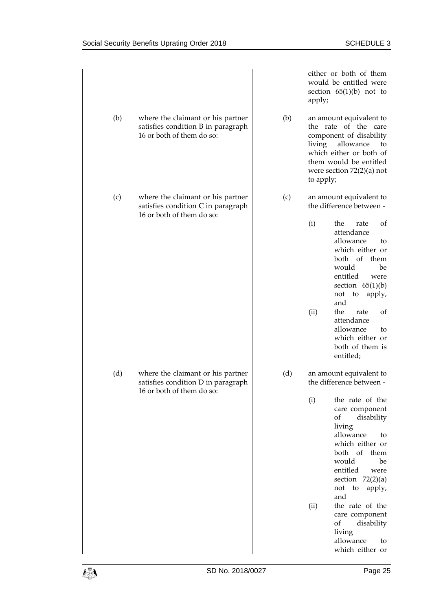|     |                                                                                                      |     | either or both of them<br>would be entitled were<br>section $65(1)(b)$ not to<br>apply;                                                                                                                                                                                                                                              |
|-----|------------------------------------------------------------------------------------------------------|-----|--------------------------------------------------------------------------------------------------------------------------------------------------------------------------------------------------------------------------------------------------------------------------------------------------------------------------------------|
| (b) | where the claimant or his partner<br>satisfies condition B in paragraph<br>16 or both of them do so: | (b) | an amount equivalent to<br>the rate of the care<br>component of disability<br>living<br>allowance<br>to<br>which either or both of<br>them would be entitled<br>were section $72(2)(a)$ not<br>to apply;                                                                                                                             |
| (c) | where the claimant or his partner<br>satisfies condition C in paragraph<br>16 or both of them do so: | (c) | an amount equivalent to<br>the difference between -                                                                                                                                                                                                                                                                                  |
|     |                                                                                                      |     | the<br>(i)<br>rate<br>of<br>attendance<br>allowance<br>to<br>which either or<br>both of<br>them<br>would<br>be<br>entitled<br>were<br>section $65(1)(b)$<br>not<br>to<br>apply,<br>and<br>(ii)<br>the<br>rate<br>of<br>attendance<br>allowance<br>to<br>which either or<br>both of them is<br>entitled;                              |
| (d) | where the claimant or his partner<br>satisfies condition D in paragraph<br>16 or both of them do so: | (d) | an amount equivalent to<br>the difference between -                                                                                                                                                                                                                                                                                  |
|     |                                                                                                      |     | (i)<br>the rate of the<br>care component<br>of<br>disability<br>living<br>allowance<br>to<br>which either or<br>both of<br>them<br>would<br>be<br>entitled<br>were<br>section $72(2)(a)$<br>not to<br>apply,<br>and<br>the rate of the<br>(ii)<br>care component<br>of<br>disability<br>living<br>allowance<br>to<br>which either or |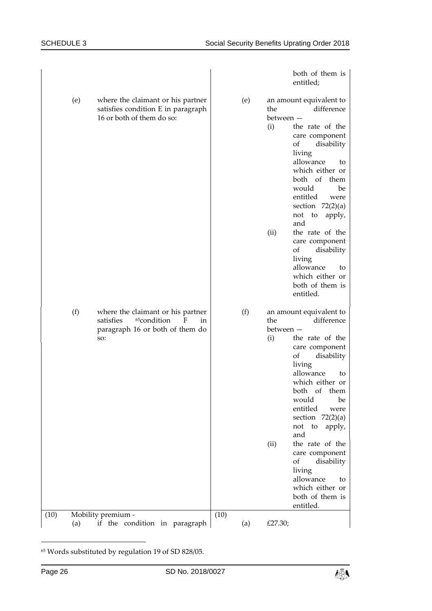|      |     |                                                                                                                                |      |     |                                 | both of them is<br>entitled;                                                                                                                                                                                                                                                                                                                                                                   |
|------|-----|--------------------------------------------------------------------------------------------------------------------------------|------|-----|---------------------------------|------------------------------------------------------------------------------------------------------------------------------------------------------------------------------------------------------------------------------------------------------------------------------------------------------------------------------------------------------------------------------------------------|
|      | (e) | where the claimant or his partner<br>satisfies condition E in paragraph<br>16 or both of them do so:                           |      | (e) | the<br>between –<br>(i)<br>(ii) | an amount equivalent to<br>difference<br>the rate of the<br>care component<br>of<br>disability<br>living<br>allowance<br>to<br>which either or<br>both of them<br>would<br>be<br>entitled<br>were<br>section $72(2)(a)$<br>not<br>to<br>apply,<br>and<br>the rate of the<br>care component<br>of<br>disability<br>living<br>allowance<br>to<br>which either or<br>both of them is<br>entitled. |
|      | (f) | where the claimant or his partner<br>satisfies<br><sup>65</sup> condition<br>F<br>in<br>paragraph 16 or both of them do<br>SO: |      | (f) | the<br>between -<br>(i)<br>(ii) | an amount equivalent to<br>difference<br>the rate of the<br>care component<br>disability<br>of<br>living<br>allowance<br>to<br>which either or<br>both of them<br>would<br>be<br>entitled<br>were<br>section $72(2)(a)$<br>not<br>to<br>apply,<br>and<br>the rate of the<br>care component<br>of<br>disability<br>living<br>allowance<br>to<br>which either or<br>both of them is<br>entitled. |
| (10) |     | Mobility premium -                                                                                                             | (10) |     | £27.30;                         |                                                                                                                                                                                                                                                                                                                                                                                                |
|      | (a) | if the condition in paragraph                                                                                                  |      | (a) |                                 |                                                                                                                                                                                                                                                                                                                                                                                                |

 $65$  Words substituted by regulation 19 of SD 828/05.

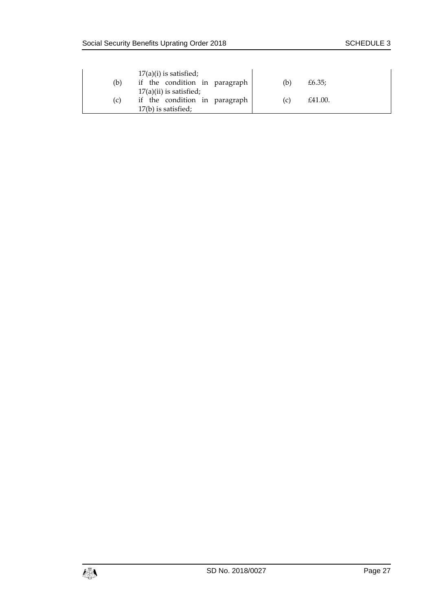| (b) | $17(a)(i)$ is satisfied;<br>if the condition in paragraph  | (b) | £6.35;  |
|-----|------------------------------------------------------------|-----|---------|
| (c) | $17(a)(ii)$ is satisfied;<br>if the condition in paragraph | (C) | £41.00. |
|     | 17(b) is satisfied;                                        |     |         |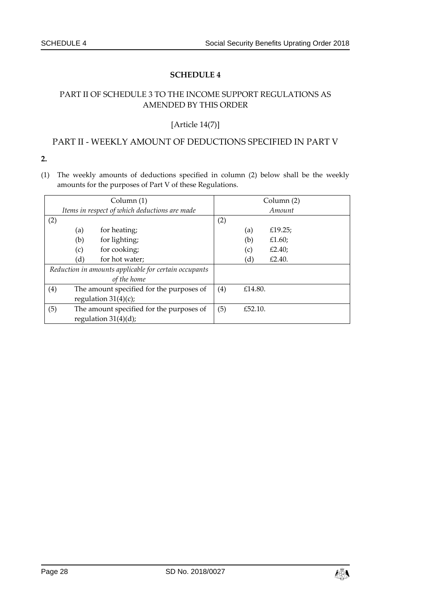# <span id="page-27-1"></span><span id="page-27-0"></span>PART II OF SCHEDULE 3 TO THE INCOME SUPPORT REGULATIONS AS AMENDED BY THIS ORDER

# [Article 14(7)]

# PART II - WEEKLY AMOUNT OF DEDUCTIONS SPECIFIED IN PART V

**2.**

(1) The weekly amounts of deductions specified in column (2) below shall be the weekly amounts for the purposes of Part V of these Regulations.

|                                                       | Column (1)                                    |                                          |     |         | Column (2) |
|-------------------------------------------------------|-----------------------------------------------|------------------------------------------|-----|---------|------------|
|                                                       | Items in respect of which deductions are made |                                          |     |         | Amount     |
| (2)                                                   |                                               |                                          | (2) |         |            |
|                                                       | (a)                                           | for heating;                             |     | (a)     | £19.25;    |
|                                                       | (b)                                           | for lighting;                            |     | (b)     | £1.60;     |
|                                                       | (c)                                           | for cooking;                             |     | (c)     | £2.40;     |
|                                                       | (d)                                           | for hot water;                           |     | (d)     | £2.40.     |
| Reduction in amounts applicable for certain occupants |                                               |                                          |     |         |            |
|                                                       |                                               | of the home                              |     |         |            |
| (4)                                                   | The amount specified for the purposes of      |                                          | (4) | £14.80. |            |
|                                                       |                                               | regulation $31(4)(c)$ ;                  |     |         |            |
| (5)                                                   |                                               | The amount specified for the purposes of | (5) | £52.10. |            |
|                                                       |                                               | regulation $31(4)(d)$ ;                  |     |         |            |

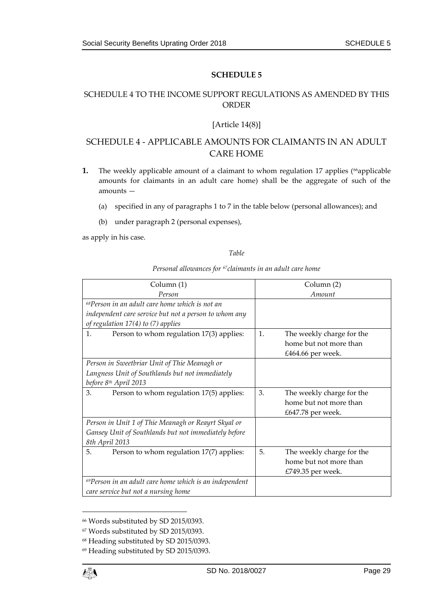### <span id="page-28-1"></span><span id="page-28-0"></span>SCHEDULE 4 TO THE INCOME SUPPORT REGULATIONS AS AMENDED BY THIS ORDER

#### [Article 14(8)]

# SCHEDULE 4 - APPLICABLE AMOUNTS FOR CLAIMANTS IN AN ADULT CARE HOME

- **1.** The weekly applicable amount of a claimant to whom regulation 17 applies (<sup>66</sup>applicable amounts for claimants in an adult care home) shall be the aggregate of such of the amounts —
	- (a) specified in any of paragraphs 1 to 7 in the table below (personal allowances); and
	- (b) under paragraph 2 (personal expenses),

as apply in his case.

#### *Table*

*Personal allowances for 67claimants in an adult care home*

| Column (1)                                                   |    | Column (2)                |
|--------------------------------------------------------------|----|---------------------------|
| Person                                                       |    | Amount                    |
| $^{68}$ Person in an adult care home which is not an         |    |                           |
| independent care service but not a person to whom any        |    |                           |
| of regulation $17(4)$ to $(7)$ applies                       |    |                           |
| 1.<br>Person to whom regulation 17(3) applies:               | 1. | The weekly charge for the |
|                                                              |    | home but not more than    |
|                                                              |    | £464.66 per week.         |
| Person in Sweetbriar Unit of Thie Meanagh or                 |    |                           |
| Langness Unit of Southlands but not immediately              |    |                           |
| before 8th April 2013                                        |    |                           |
| 3.<br>Person to whom regulation 17(5) applies:               | 3. | The weekly charge for the |
|                                                              |    | home but not more than    |
|                                                              |    | £647.78 per week.         |
| Person in Unit 1 of Thie Meanagh or Reayrt Skyal or          |    |                           |
| Gansey Unit of Southlands but not immediately before         |    |                           |
| 8th April 2013                                               |    |                           |
| 5.<br>Person to whom regulation 17(7) applies:               | 5. | The weekly charge for the |
|                                                              |    | home but not more than    |
|                                                              |    | £749.35 per week.         |
| $^{69}$ Person in an adult care home which is an independent |    |                           |
| care service but not a nursing home                          |    |                           |

<sup>66</sup> Words substituted by SD 2015/0393.

<sup>67</sup> Words substituted by SD 2015/0393.

<sup>68</sup> Heading substituted by SD 2015/0393.

<sup>69</sup> Heading substituted by SD 2015/0393.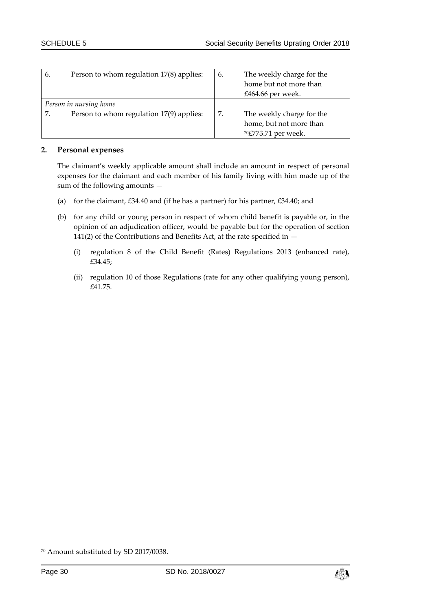| 6. | Person to whom regulation 17(8) applies: | 6. | The weekly charge for the<br>home but not more than<br>£464.66 per week.                |
|----|------------------------------------------|----|-----------------------------------------------------------------------------------------|
|    | Person in nursing home                   |    |                                                                                         |
| 7. | Person to whom regulation 17(9) applies: | 7. | The weekly charge for the<br>home, but not more than<br><sup>70</sup> £773.71 per week. |

#### **2. Personal expenses**

The claimant's weekly applicable amount shall include an amount in respect of personal expenses for the claimant and each member of his family living with him made up of the sum of the following amounts —

- (a) for the claimant,  $£34.40$  and (if he has a partner) for his partner,  $£34.40$ ; and
- (b) for any child or young person in respect of whom child benefit is payable or, in the opinion of an adjudication officer, would be payable but for the operation of section 141(2) of the Contributions and Benefits Act, at the rate specified in  $-$ 
	- (i) regulation 8 of the Child Benefit (Rates) Regulations 2013 (enhanced rate), £34.45;
	- (ii) regulation 10 of those Regulations (rate for any other qualifying young person), £41.75.



<sup>70</sup> Amount substituted by SD 2017/0038.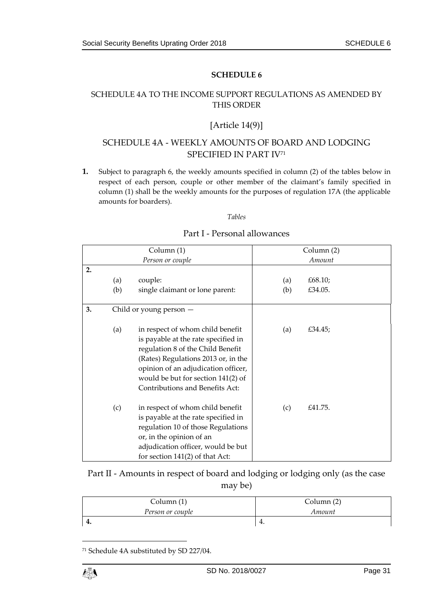# <span id="page-30-1"></span><span id="page-30-0"></span>SCHEDULE 4A TO THE INCOME SUPPORT REGULATIONS AS AMENDED BY THIS ORDER

### [Article 14(9)]

# SCHEDULE 4A - WEEKLY AMOUNTS OF BOARD AND LODGING SPECIFIED IN PART IV<sup>71</sup>

**1.** Subject to paragraph 6, the weekly amounts specified in column (2) of the tables below in respect of each person, couple or other member of the claimant's family specified in column (1) shall be the weekly amounts for the purposes of regulation 17A (the applicable amounts for boarders).

*Tables*

|    |     | Column (1)                                                                                                                                                                                                                                                          |     | Column (2) |  |
|----|-----|---------------------------------------------------------------------------------------------------------------------------------------------------------------------------------------------------------------------------------------------------------------------|-----|------------|--|
|    |     | Person or couple                                                                                                                                                                                                                                                    |     | Amount     |  |
| 2. |     |                                                                                                                                                                                                                                                                     |     |            |  |
|    | (a) | couple:                                                                                                                                                                                                                                                             | (a) | £68.10;    |  |
|    | (b) | single claimant or lone parent:                                                                                                                                                                                                                                     | (b) | £34.05.    |  |
| 3. |     | Child or young person $-$                                                                                                                                                                                                                                           |     |            |  |
|    | (a) | in respect of whom child benefit<br>is payable at the rate specified in<br>regulation 8 of the Child Benefit<br>(Rates) Regulations 2013 or, in the<br>opinion of an adjudication officer,<br>would be but for section 141(2) of<br>Contributions and Benefits Act: | (a) | £34.45;    |  |
|    | (c) | in respect of whom child benefit<br>is payable at the rate specified in<br>regulation 10 of those Regulations<br>or, in the opinion of an<br>adjudication officer, would be but<br>for section $141(2)$ of that Act:                                                | (c) | £41.75.    |  |

#### Part I - Personal allowances

Part II - Amounts in respect of board and lodging or lodging only (as the case may be)

| Column $(1)$     | Column (2) |
|------------------|------------|
| Person or couple | Amount     |
| т.               | ±.         |

<sup>71</sup> Schedule 4A substituted by SD 227/04.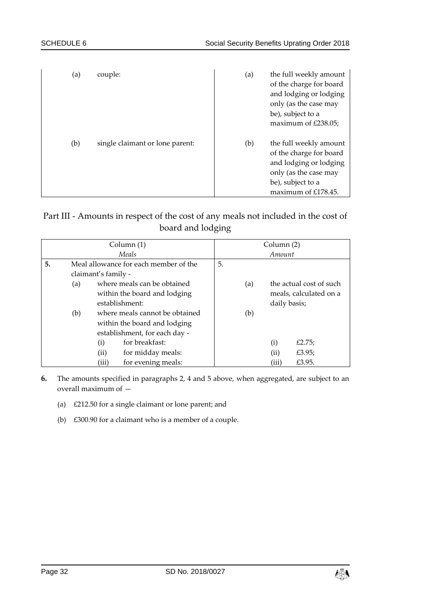| (a) | couple:                         | (a) | the full weekly amount<br>of the charge for board<br>and lodging or lodging<br>only (as the case may<br>be), subject to a<br>maximum of $£238.05;$  |
|-----|---------------------------------|-----|-----------------------------------------------------------------------------------------------------------------------------------------------------|
| (b) | single claimant or lone parent: | (b) | the full weekly amount<br>of the charge for board<br>and lodging or lodging<br>only (as the case may<br>be), subject to a<br>maximum of $£178.45$ . |

# Part III - Amounts in respect of the cost of any meals not included in the cost of board and lodging

|    |     |                     | Column (1)                            |              |     | Column (2) |                         |
|----|-----|---------------------|---------------------------------------|--------------|-----|------------|-------------------------|
|    |     |                     | Meals                                 |              |     | Amount     |                         |
| 5. |     |                     | Meal allowance for each member of the | 5.           |     |            |                         |
|    |     | claimant's family - |                                       |              |     |            |                         |
|    | (a) |                     | where meals can be obtained           |              | (a) |            | the actual cost of such |
|    |     |                     | within the board and lodging          |              |     |            | meals, calculated on a  |
|    |     |                     | establishment:                        | daily basis; |     |            |                         |
|    | (b) |                     | where meals cannot be obtained<br>(b) |              |     |            |                         |
|    |     |                     | within the board and lodging          |              |     |            |                         |
|    |     |                     | establishment, for each day -         |              |     |            |                         |
|    |     | (i)                 | for breakfast:                        |              |     | (i)        | £2.75;                  |
|    |     | (ii)                | for midday meals:                     |              |     | (ii)       | £3.95;                  |
|    |     | (iii)               | for evening meals:                    |              |     | (iii)      | £3.95.                  |

- **6.** The amounts specified in paragraphs 2, 4 and 5 above, when aggregated, are subject to an overall maximum of —
	- (a) £212.50 for a single claimant or lone parent; and
	- (b) £300.90 for a claimant who is a member of a couple.

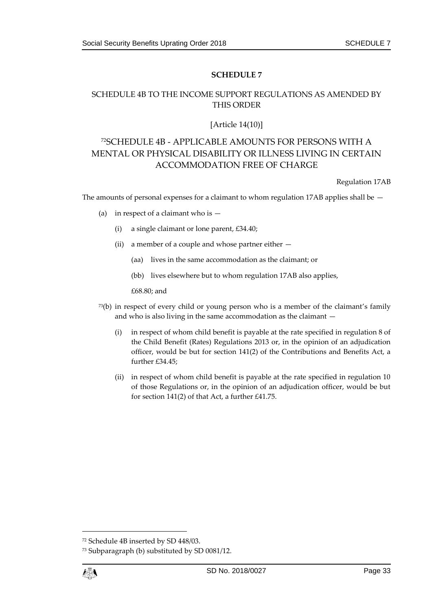# <span id="page-32-1"></span><span id="page-32-0"></span>SCHEDULE 4B TO THE INCOME SUPPORT REGULATIONS AS AMENDED BY THIS ORDER

#### [Article 14(10)]

# <sup>72</sup>SCHEDULE 4B - APPLICABLE AMOUNTS FOR PERSONS WITH A MENTAL OR PHYSICAL DISABILITY OR ILLNESS LIVING IN CERTAIN ACCOMMODATION FREE OF CHARGE

Regulation 17AB

The amounts of personal expenses for a claimant to whom regulation 17AB applies shall be  $-$ 

- (a) in respect of a claimant who is  $-$ 
	- (i) a single claimant or lone parent, £34.40;
	- (ii) a member of a couple and whose partner either
		- (aa) lives in the same accommodation as the claimant; or
		- (bb) lives elsewhere but to whom regulation 17AB also applies,

£68.80; and

- $73(b)$  in respect of every child or young person who is a member of the claimant's family and who is also living in the same accommodation as the claimant —
	- (i) in respect of whom child benefit is payable at the rate specified in regulation 8 of the Child Benefit (Rates) Regulations 2013 or, in the opinion of an adjudication officer, would be but for section 141(2) of the Contributions and Benefits Act, a further £34.45;
	- (ii) in respect of whom child benefit is payable at the rate specified in regulation 10 of those Regulations or, in the opinion of an adjudication officer, would be but for section 141(2) of that Act, a further £41.75.

<sup>73</sup> Subparagraph (b) substituted by SD 0081/12.



<sup>72</sup> Schedule 4B inserted by SD 448/03.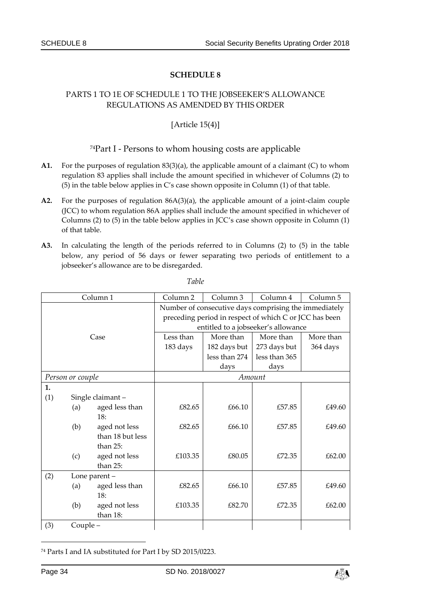### <span id="page-33-1"></span><span id="page-33-0"></span>PARTS 1 TO 1E OF SCHEDULE 1 TO THE JOBSEEKER'S ALLOWANCE REGULATIONS AS AMENDED BY THIS ORDER

### [Article 15(4)]

#### <sup>74</sup>Part I - Persons to whom housing costs are applicable

- **A1.** For the purposes of regulation 83(3)(a), the applicable amount of a claimant (C) to whom regulation 83 applies shall include the amount specified in whichever of Columns (2) to (5) in the table below applies in C's case shown opposite in Column (1) of that table.
- **A2.** For the purposes of regulation 86A(3)(a), the applicable amount of a joint-claim couple (JCC) to whom regulation 86A applies shall include the amount specified in whichever of Columns (2) to (5) in the table below applies in JCC's case shown opposite in Column (1) of that table.
- **A3.** In calculating the length of the periods referred to in Columns (2) to (5) in the table below, any period of 56 days or fewer separating two periods of entitlement to a jobseeker's allowance are to be disregarded.

|                      |                  | Column <sub>1</sub> | Column <sub>2</sub>                                   | Column <sub>3</sub> | Column 4                                               | Column <sub>5</sub> |  |
|----------------------|------------------|---------------------|-------------------------------------------------------|---------------------|--------------------------------------------------------|---------------------|--|
|                      |                  |                     | Number of consecutive days comprising the immediately |                     |                                                        |                     |  |
|                      |                  |                     |                                                       |                     | preceding period in respect of which C or JCC has been |                     |  |
|                      |                  |                     |                                                       |                     | entitled to a jobseeker's allowance                    |                     |  |
|                      |                  | Case                | Less than                                             | More than           | More than                                              | More than           |  |
|                      |                  |                     | 183 days                                              | 182 days but        | 273 days but                                           | 364 days            |  |
|                      |                  |                     |                                                       | less than 274       | less than 365                                          |                     |  |
|                      |                  |                     |                                                       | days                | days                                                   |                     |  |
|                      | Person or couple |                     |                                                       |                     | Amount                                                 |                     |  |
| 1.                   |                  |                     |                                                       |                     |                                                        |                     |  |
| (1)                  |                  | Single claimant -   |                                                       |                     |                                                        |                     |  |
|                      | (a)              | aged less than      | £82.65                                                | £66.10              | £57.85                                                 | £49.60              |  |
|                      |                  | 18:                 |                                                       |                     |                                                        |                     |  |
|                      | (b)              | aged not less       | £82.65                                                | £66.10              | £57.85                                                 | £49.60              |  |
|                      |                  | than 18 but less    |                                                       |                     |                                                        |                     |  |
|                      |                  | than $25$ :         |                                                       |                     |                                                        |                     |  |
|                      | (c)              | aged not less       | £103.35                                               | £80.05              | £72.35                                                 | £62.00              |  |
|                      |                  | than 25:            |                                                       |                     |                                                        |                     |  |
| (2)<br>Lone parent - |                  |                     |                                                       |                     |                                                        |                     |  |
|                      | (a)              | aged less than      | £82.65                                                | £66.10              | £57.85                                                 | £49.60              |  |
|                      |                  | 18:                 |                                                       |                     |                                                        |                     |  |
|                      | (b)              | aged not less       | £103.35                                               | £82.70              | £72.35                                                 | £62.00              |  |
|                      |                  | than 18:            |                                                       |                     |                                                        |                     |  |
| (3)                  | Couple-          |                     |                                                       |                     |                                                        |                     |  |

*Table*

<sup>74</sup> Parts I and IA substituted for Part I by SD 2015/0223.

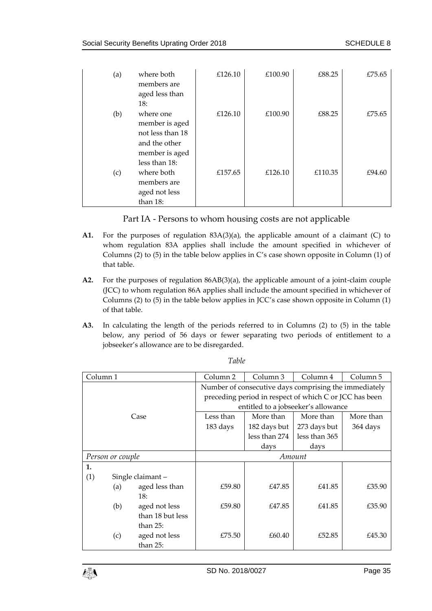| (a) | where both<br>members are<br>aged less than<br>18:                                        | £126.10 | £100.90 | £88.25  | £75.65 |
|-----|-------------------------------------------------------------------------------------------|---------|---------|---------|--------|
| (b) | where one<br>member is aged<br>not less than 18<br>and the other                          | £126.10 | £100.90 | £88.25  | £75.65 |
| (c) | member is aged<br>less than 18:<br>where both<br>members are<br>aged not less<br>than 18: | £157.65 | £126.10 | £110.35 | £94.60 |

Part IA - Persons to whom housing costs are not applicable

- **A1.** For the purposes of regulation 83A(3)(a), the applicable amount of a claimant (C) to whom regulation 83A applies shall include the amount specified in whichever of Columns (2) to (5) in the table below applies in C's case shown opposite in Column (1) of that table.
- **A2.** For the purposes of regulation 86AB(3)(a), the applicable amount of a joint-claim couple (JCC) to whom regulation 86A applies shall include the amount specified in whichever of Columns (2) to (5) in the table below applies in JCC's case shown opposite in Column (1) of that table.
- **A3.** In calculating the length of the periods referred to in Columns (2) to (5) in the table below, any period of 56 days or fewer separating two periods of entitlement to a jobseeker's allowance are to be disregarded.

| Column <sub>1</sub> |     | Column 2         | Column 3                                              | Column 4      | Column 5                                               |           |  |
|---------------------|-----|------------------|-------------------------------------------------------|---------------|--------------------------------------------------------|-----------|--|
|                     |     |                  | Number of consecutive days comprising the immediately |               |                                                        |           |  |
|                     |     |                  |                                                       |               | preceding period in respect of which C or JCC has been |           |  |
|                     |     |                  |                                                       |               | entitled to a jobseeker's allowance                    |           |  |
|                     |     | Case             | Less than                                             | More than     | More than                                              | More than |  |
|                     |     |                  | 183 days                                              | 182 days but  | 273 days but                                           | 364 days  |  |
|                     |     |                  |                                                       | less than 274 | less than 365                                          |           |  |
|                     |     |                  |                                                       | days          | days                                                   |           |  |
| Person or couple    |     | Amount           |                                                       |               |                                                        |           |  |
| 1.                  |     |                  |                                                       |               |                                                        |           |  |
| (1)                 |     | Single claimant- |                                                       |               |                                                        |           |  |
|                     | (a) | aged less than   | £59.80                                                | £47.85        | £41.85                                                 | £35.90    |  |
|                     |     | 18:              |                                                       |               |                                                        |           |  |
|                     | (b) | aged not less    | £59.80                                                | £47.85        | £41.85                                                 | £35.90    |  |
|                     |     | than 18 but less |                                                       |               |                                                        |           |  |
|                     |     | than $25$ :      |                                                       |               |                                                        |           |  |
|                     | (c) | aged not less    | £75.50                                                | £60.40        | £52.85                                                 | £45.30    |  |
|                     |     | than 25:         |                                                       |               |                                                        |           |  |

*Table*

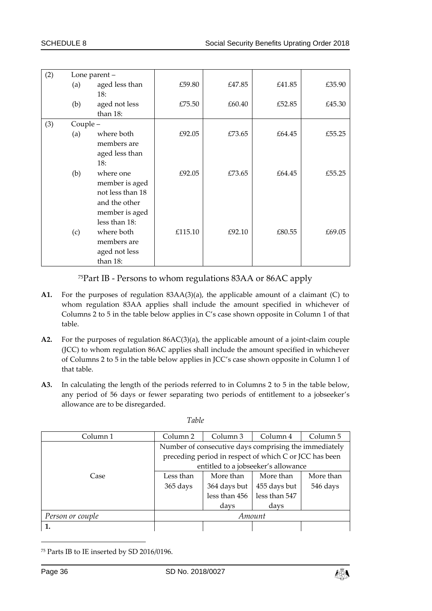| (2) | Lone parent - |                  |         |        |        |        |
|-----|---------------|------------------|---------|--------|--------|--------|
|     | (a)           | aged less than   | £59.80  | £47.85 | £41.85 | £35.90 |
|     |               | 18:              |         |        |        |        |
|     | (b)           | aged not less    | £75.50  | £60.40 | £52.85 | £45.30 |
|     |               | than 18:         |         |        |        |        |
| (3) | Couple -      |                  |         |        |        |        |
|     | (a)           | where both       | £92.05  | £73.65 | £64.45 | £55.25 |
|     |               | members are      |         |        |        |        |
|     |               | aged less than   |         |        |        |        |
|     |               | 18:              |         |        |        |        |
|     | (b)           | where one        | £92.05  | £73.65 | £64.45 | £55.25 |
|     |               | member is aged   |         |        |        |        |
|     |               | not less than 18 |         |        |        |        |
|     |               | and the other    |         |        |        |        |
|     |               | member is aged   |         |        |        |        |
|     |               | less than 18:    |         |        |        |        |
|     | (c)           | where both       | £115.10 | £92.10 | £80.55 | £69.05 |
|     |               | members are      |         |        |        |        |
|     |               | aged not less    |         |        |        |        |
|     |               | than 18:         |         |        |        |        |

<sup>75</sup>Part IB - Persons to whom regulations 83AA or 86AC apply

- **A1.** For the purposes of regulation 83AA(3)(a), the applicable amount of a claimant (C) to whom regulation 83AA applies shall include the amount specified in whichever of Columns 2 to 5 in the table below applies in C's case shown opposite in Column 1 of that table.
- **A2.** For the purposes of regulation 86AC(3)(a), the applicable amount of a joint-claim couple (JCC) to whom regulation 86AC applies shall include the amount specified in whichever of Columns 2 to 5 in the table below applies in JCC's case shown opposite in Column 1 of that table.
- **A3.** In calculating the length of the periods referred to in Columns 2 to 5 in the table below, any period of 56 days or fewer separating two periods of entitlement to a jobseeker's allowance are to be disregarded.

|--|

| Column 1         | Column 2  | Column 3                                               | Column 4      | Column 5  |
|------------------|-----------|--------------------------------------------------------|---------------|-----------|
|                  |           | Number of consecutive days comprising the immediately  |               |           |
|                  |           | preceding period in respect of which C or JCC has been |               |           |
|                  |           | entitled to a jobseeker's allowance                    |               |           |
| Case             | Less than | More than                                              | More than     | More than |
|                  | 365 days  | 364 days but                                           | 455 days but  | 546 days  |
|                  |           | less than 456                                          | less than 547 |           |
|                  |           | days                                                   | days          |           |
| Person or couple |           |                                                        | Amount        |           |
|                  |           |                                                        |               |           |

<sup>75</sup> Parts IB to IE inserted by SD 2016/0196.

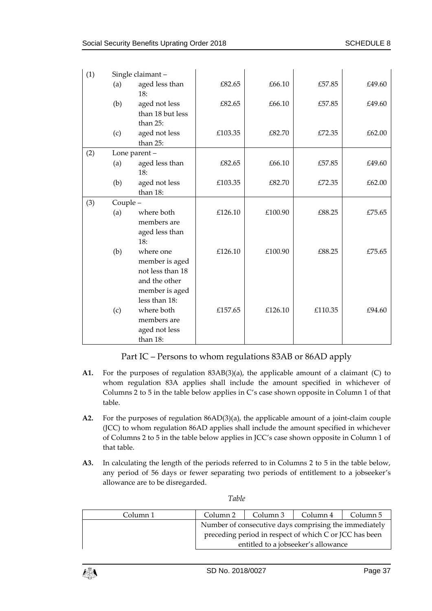| (1) |         | Single claimant-                                       |         |         |         |        |
|-----|---------|--------------------------------------------------------|---------|---------|---------|--------|
|     | (a)     | aged less than<br>18:                                  | £82.65  | £66.10  | £57.85  | £49.60 |
|     | (b)     | aged not less<br>than 18 but less                      | £82.65  | £66.10  | £57.85  | £49.60 |
|     | (c)     | than 25:<br>aged not less<br>than 25:                  | £103.35 | £82.70  | £72.35  | £62.00 |
| (2) |         | Lone parent -                                          |         |         |         |        |
|     | (a)     | aged less than<br>18:                                  | £82.65  | £66.10  | £57.85  | £49.60 |
|     | (b)     | aged not less<br>than 18:                              | £103.35 | £82.70  | £72.35  | £62.00 |
| (3) | Couple- |                                                        |         |         |         |        |
|     | (a)     | where both<br>members are<br>aged less than            | £126.10 | £100.90 | £88.25  | £75.65 |
|     |         | 18:                                                    |         |         |         |        |
|     | (b)     | where one<br>member is aged<br>not less than 18        | £126.10 | £100.90 | £88.25  | £75.65 |
|     |         | and the other<br>member is aged<br>less than 18:       |         |         |         |        |
|     | (c)     | where both<br>members are<br>aged not less<br>than 18: | £157.65 | £126.10 | £110.35 | £94.60 |

Part IC – Persons to whom regulations 83AB or 86AD apply

- **A1.** For the purposes of regulation 83AB(3)(a), the applicable amount of a claimant (C) to whom regulation 83A applies shall include the amount specified in whichever of Columns 2 to 5 in the table below applies in C's case shown opposite in Column 1 of that table.
- **A2.** For the purposes of regulation 86AD(3)(a), the applicable amount of a joint-claim couple (JCC) to whom regulation 86AD applies shall include the amount specified in whichever of Columns 2 to 5 in the table below applies in JCC's case shown opposite in Column 1 of that table.
- **A3.** In calculating the length of the periods referred to in Columns 2 to 5 in the table below, any period of 56 days or fewer separating two periods of entitlement to a jobseeker's allowance are to be disregarded.

| Column 1 | Column 2                                               | Column 3 | Column 4 | Column 5 |
|----------|--------------------------------------------------------|----------|----------|----------|
|          | Number of consecutive days comprising the immediately  |          |          |          |
|          | preceding period in respect of which C or JCC has been |          |          |          |
|          | entitled to a jobseeker's allowance                    |          |          |          |

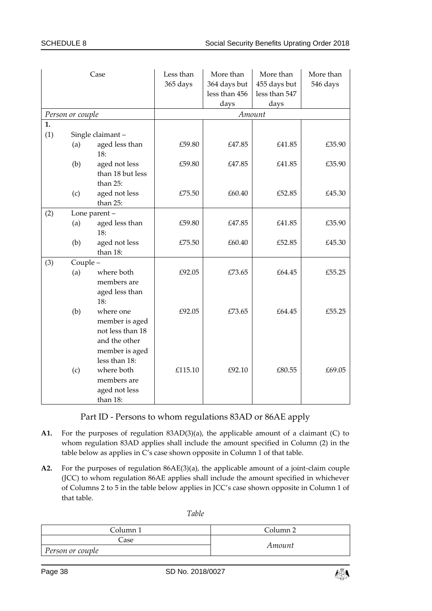|     |                  | Case                                                                                      | Less than<br>365 days | More than<br>364 days but<br>less than 456<br>days | More than<br>455 days but<br>less than 547<br>days | More than<br>546 days |
|-----|------------------|-------------------------------------------------------------------------------------------|-----------------------|----------------------------------------------------|----------------------------------------------------|-----------------------|
|     | Person or couple |                                                                                           |                       |                                                    | Amount                                             |                       |
| 1.  |                  |                                                                                           |                       |                                                    |                                                    |                       |
| (1) |                  | Single claimant-                                                                          |                       |                                                    |                                                    |                       |
|     | (a)              | aged less than<br>18:                                                                     | £59.80                | £47.85                                             | £41.85                                             | £35.90                |
|     | (b)              | aged not less<br>than 18 but less<br>than 25:                                             | £59.80                | £47.85                                             | £41.85                                             | £35.90                |
|     | (c)              | aged not less<br>than 25:                                                                 | £75.50                | £60.40                                             | £52.85                                             | £45.30                |
| (2) |                  | Lone parent -                                                                             |                       |                                                    |                                                    |                       |
|     | (a)              | aged less than<br>18:                                                                     | £59.80                | £47.85                                             | £41.85                                             | £35.90                |
|     | (b)              | aged not less<br>than 18:                                                                 | £75.50                | £60.40                                             | £52.85                                             | £45.30                |
| (3) | Couple-          |                                                                                           |                       |                                                    |                                                    |                       |
|     | (a)              | where both<br>members are<br>aged less than<br>18:                                        | £92.05                | £73.65                                             | £64.45                                             | £55.25                |
|     | (b)              | where one<br>member is aged<br>not less than 18<br>and the other                          | £92.05                | £73.65                                             | £64.45                                             | £55.25                |
|     | (c)              | member is aged<br>less than 18:<br>where both<br>members are<br>aged not less<br>than 18: | £115.10               | £92.10                                             | £80.55                                             | £69.05                |

Part ID - Persons to whom regulations 83AD or 86AE apply

- **A1.** For the purposes of regulation 83AD(3)(a), the applicable amount of a claimant (C) to whom regulation 83AD applies shall include the amount specified in Column (2) in the table below as applies in C's case shown opposite in Column 1 of that table.
- **A2.** For the purposes of regulation 86AE(3)(a), the applicable amount of a joint-claim couple (JCC) to whom regulation 86AE applies shall include the amount specified in whichever of Columns 2 to 5 in the table below applies in JCC's case shown opposite in Column 1 of that table.

*Table*

| Column 1         | Column <sub>2</sub> |  |
|------------------|---------------------|--|
| Case :           | Amount              |  |
| Person or couple |                     |  |

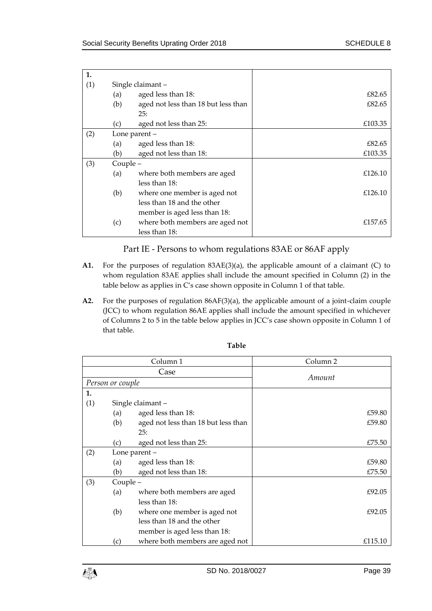| 1.  |          |                                     |         |
|-----|----------|-------------------------------------|---------|
| (1) |          | Single claimant-                    |         |
|     | (a)      | aged less than 18:                  | £82.65  |
|     | (b)      | aged not less than 18 but less than | £82.65  |
|     |          | 25:                                 |         |
|     | (c)      | aged not less than 25:              | £103.35 |
| (2) |          | Lone parent -                       |         |
|     | (a)      | aged less than 18:                  | £82.65  |
|     | (b)      | aged not less than 18:              | £103.35 |
| (3) | Couple - |                                     |         |
|     | (a)      | where both members are aged         | £126.10 |
|     |          | less than 18:                       |         |
|     | (b)      | where one member is aged not        | £126.10 |
|     |          | less than 18 and the other          |         |
|     |          | member is aged less than 18:        |         |
|     | (c)      | where both members are aged not     | £157.65 |
|     |          | less than 18:                       |         |

# Part IE - Persons to whom regulations 83AE or 86AF apply

- **A1.** For the purposes of regulation 83AE(3)(a), the applicable amount of a claimant (C) to whom regulation 83AE applies shall include the amount specified in Column (2) in the table below as applies in C's case shown opposite in Column 1 of that table.
- **A2.** For the purposes of regulation 86AF(3)(a), the applicable amount of a joint-claim couple (JCC) to whom regulation 86AE applies shall include the amount specified in whichever of Columns 2 to 5 in the table below applies in JCC's case shown opposite in Column 1 of that table.

|     |                  | Column 1                            | Column 2 |  |
|-----|------------------|-------------------------------------|----------|--|
|     |                  | Case                                |          |  |
|     | Person or couple |                                     | Amount   |  |
| 1.  |                  |                                     |          |  |
| (1) |                  | Single claimant -                   |          |  |
|     | (a)              | aged less than 18:                  | £59.80   |  |
|     | (b)              | aged not less than 18 but less than | £59.80   |  |
|     |                  | 25:                                 |          |  |
|     | (c)              | aged not less than 25:              | £75.50   |  |
| (2) |                  | Lone parent $-$                     |          |  |
|     | (a)              | aged less than 18:                  | £59.80   |  |
|     | (b)              | aged not less than 18:              | £75.50   |  |
| (3) | Couple –         |                                     |          |  |
|     | (a)              | where both members are aged         | £92.05   |  |
|     |                  | less than 18:                       |          |  |
|     | (b)              | where one member is aged not        | £92.05   |  |
|     |                  | less than 18 and the other          |          |  |
|     |                  | member is aged less than 18:        |          |  |
|     | (c)              | where both members are aged not     | £115.10  |  |

#### **Table**

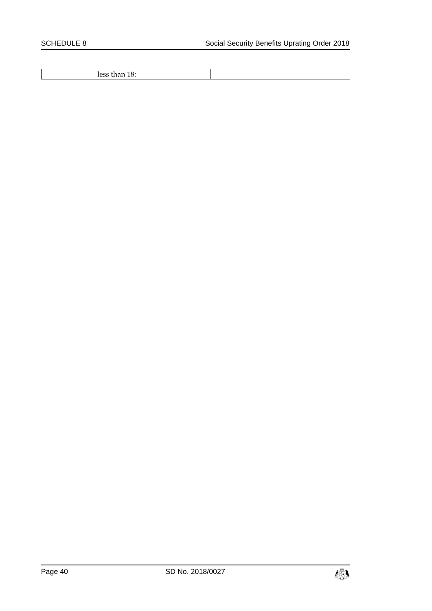less than 18:

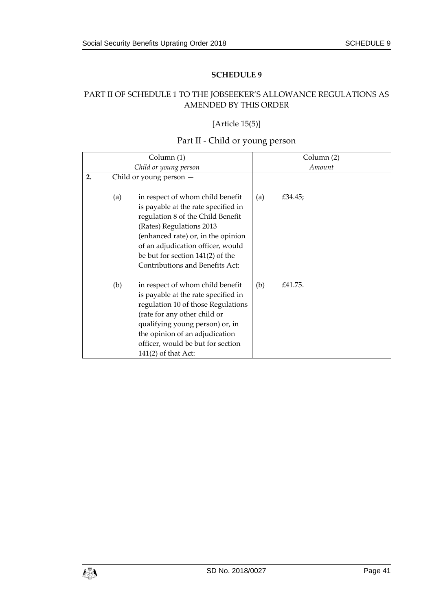# <span id="page-40-1"></span><span id="page-40-0"></span>PART II OF SCHEDULE 1 TO THE JOBSEEKER'S ALLOWANCE REGULATIONS AS AMENDED BY THIS ORDER

# [Article 15(5)]

# Part II - Child or young person

|    | Column (1)                |                                     |     | Column (2) |  |  |
|----|---------------------------|-------------------------------------|-----|------------|--|--|
|    | Child or young person     |                                     |     | Amount     |  |  |
| 2. | Child or young person $-$ |                                     |     |            |  |  |
|    |                           |                                     |     |            |  |  |
|    | (a)                       | in respect of whom child benefit    | (a) | £34.45;    |  |  |
|    |                           | is payable at the rate specified in |     |            |  |  |
|    |                           | regulation 8 of the Child Benefit   |     |            |  |  |
|    |                           | (Rates) Regulations 2013            |     |            |  |  |
|    |                           | (enhanced rate) or, in the opinion  |     |            |  |  |
|    |                           | of an adjudication officer, would   |     |            |  |  |
|    |                           | be but for section $141(2)$ of the  |     |            |  |  |
|    |                           | Contributions and Benefits Act:     |     |            |  |  |
|    |                           |                                     |     |            |  |  |
|    | (b)                       | in respect of whom child benefit    | (b) | £41.75.    |  |  |
|    |                           | is payable at the rate specified in |     |            |  |  |
|    |                           | regulation 10 of those Regulations  |     |            |  |  |
|    |                           | (rate for any other child or        |     |            |  |  |
|    |                           | qualifying young person) or, in     |     |            |  |  |
|    |                           | the opinion of an adjudication      |     |            |  |  |
|    |                           | officer, would be but for section   |     |            |  |  |
|    |                           | $141(2)$ of that Act:               |     |            |  |  |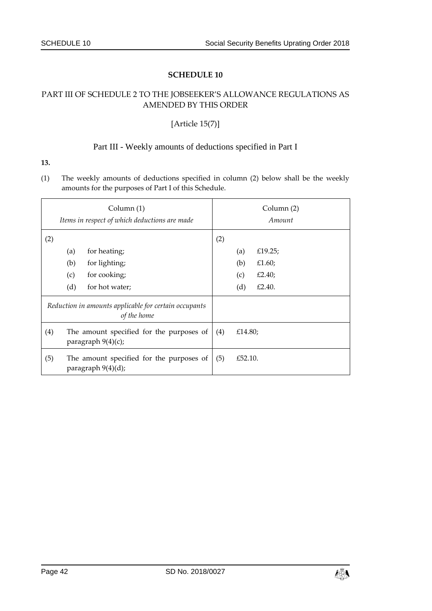### <span id="page-41-1"></span><span id="page-41-0"></span>PART III OF SCHEDULE 2 TO THE JOBSEEKER'S ALLOWANCE REGULATIONS AS AMENDED BY THIS ORDER

#### [Article 15(7)]

#### Part III - Weekly amounts of deductions specified in Part I

#### **13.**

(1) The weekly amounts of deductions specified in column (2) below shall be the weekly amounts for the purposes of Part I of this Schedule.

|     | Column (1)<br>Items in respect of which deductions are made          |                |     | Column (2)<br>Amount |         |  |
|-----|----------------------------------------------------------------------|----------------|-----|----------------------|---------|--|
| (2) |                                                                      |                | (2) |                      |         |  |
|     | (a)                                                                  | for heating;   |     | (a)                  | £19.25; |  |
|     | (b)                                                                  | for lighting;  |     | (b)                  | £1.60;  |  |
|     | (c)                                                                  | for cooking;   |     | (c)                  | £2.40;  |  |
|     | (d)                                                                  | for hot water; |     | (d)                  | £2.40.  |  |
|     | Reduction in amounts applicable for certain occupants<br>of the home |                |     |                      |         |  |
| (4) | The amount specified for the purposes of<br>paragraph $9(4)(c)$ ;    |                |     | £14.80;              |         |  |
| (5) | The amount specified for the purposes of<br>paragraph 9(4)(d);       |                |     | £52.10.              |         |  |

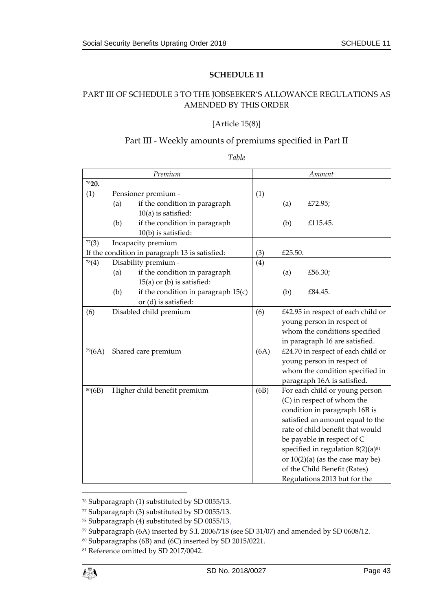# <span id="page-42-1"></span><span id="page-42-0"></span>PART III OF SCHEDULE 3 TO THE JOBSEEKER'S ALLOWANCE REGULATIONS AS AMENDED BY THIS ORDER

#### [Article 15(8)]

#### Part III - Weekly amounts of premiums specified in Part II

#### *Table*

|        |     | Premium                                        |      |                                    | Amount                                 |
|--------|-----|------------------------------------------------|------|------------------------------------|----------------------------------------|
| 7620.  |     |                                                |      |                                    |                                        |
| (1)    |     | Pensioner premium -                            | (1)  |                                    |                                        |
|        | (a) | if the condition in paragraph                  |      | (a)                                | £72.95;                                |
|        |     | $10(a)$ is satisfied:                          |      |                                    |                                        |
|        | (b) | if the condition in paragraph                  |      | (b)                                | £115.45.                               |
|        |     | 10(b) is satisfied:                            |      |                                    |                                        |
| 77(3)  |     | Incapacity premium                             |      |                                    |                                        |
|        |     | If the condition in paragraph 13 is satisfied: | (3)  | £25.50.                            |                                        |
| 78(4)  |     | Disability premium -                           | (4)  |                                    |                                        |
|        | (a) | if the condition in paragraph                  |      | (a)                                | £56.30;                                |
|        |     | $15(a)$ or (b) is satisfied:                   |      |                                    |                                        |
|        | (b) | if the condition in paragraph $15(c)$          |      | (b)                                | £84.45.                                |
|        |     | or (d) is satisfied:                           |      |                                    |                                        |
| (6)    |     | Disabled child premium                         | (6)  | £42.95 in respect of each child or |                                        |
|        |     |                                                |      |                                    | young person in respect of             |
|        |     |                                                |      |                                    | whom the conditions specified          |
|        |     |                                                |      |                                    | in paragraph 16 are satisfied.         |
| 79(6A) |     | Shared care premium                            | (6A) |                                    | £24.70 in respect of each child or     |
|        |     |                                                |      |                                    | young person in respect of             |
|        |     |                                                |      |                                    | whom the condition specified in        |
|        |     |                                                |      |                                    | paragraph 16A is satisfied.            |
| 80(6B) |     | Higher child benefit premium                   | (6B) |                                    | For each child or young person         |
|        |     |                                                |      |                                    | (C) in respect of whom the             |
|        |     |                                                |      |                                    | condition in paragraph 16B is          |
|        |     |                                                |      |                                    | satisfied an amount equal to the       |
|        |     |                                                |      |                                    | rate of child benefit that would       |
|        |     |                                                |      |                                    | be payable in respect of C             |
|        |     |                                                |      |                                    | specified in regulation $8(2)(a)^{81}$ |
|        |     |                                                |      |                                    | or $10(2)(a)$ (as the case may be)     |
|        |     |                                                |      |                                    | of the Child Benefit (Rates)           |
|        |     |                                                |      |                                    | Regulations 2013 but for the           |

<sup>76</sup> Subparagraph (1) substituted by SD 0055/13.

<sup>77</sup> Subparagraph (3) substituted by SD 0055/13.

<sup>78</sup> Subparagraph (4) substituted by SD 0055/13.

<sup>79</sup> Subparagraph (6A) inserted by S.I. 2006/718 (see SD 31/07) and amended by SD 0608/12.

<sup>80</sup> Subparagraphs (6B) and (6C) inserted by SD 2015/0221.

<sup>&</sup>lt;sup>81</sup> Reference omitted by SD 2017/0042.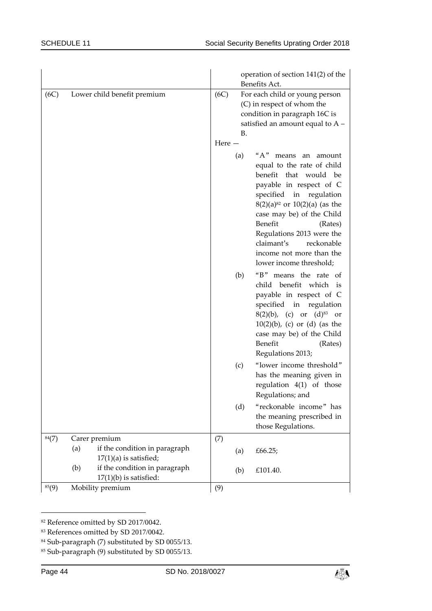|       |                                                                  | operation of section 141(2) of the<br>Benefits Act.                                                                                                                                                                                                                                                                                                |
|-------|------------------------------------------------------------------|----------------------------------------------------------------------------------------------------------------------------------------------------------------------------------------------------------------------------------------------------------------------------------------------------------------------------------------------------|
| (6C)  | Lower child benefit premium                                      | (6C)<br>For each child or young person<br>(C) in respect of whom the<br>condition in paragraph 16C is<br>satisfied an amount equal to $A -$<br><b>B.</b><br>Here $-$                                                                                                                                                                               |
|       |                                                                  | "A" means an amount<br>(a)<br>equal to the rate of child<br>benefit that would be<br>payable in respect of C<br>specified in regulation<br>$8(2)(a)^{82}$ or $10(2)(a)$ (as the<br>case may be) of the Child<br>Benefit<br>(Rates)<br>Regulations 2013 were the<br>claimant's<br>reckonable<br>income not more than the<br>lower income threshold; |
|       |                                                                  | "B" means the rate of<br>(b)<br>child benefit which is<br>payable in respect of C<br>specified in regulation<br>$8(2)(b)$ , (c) or $(d)^{83}$ or<br>$10(2)(b)$ , (c) or (d) (as the<br>case may be) of the Child<br>Benefit<br>(Rates)<br>Regulations 2013;                                                                                        |
|       |                                                                  | "lower income threshold"<br>(c)<br>has the meaning given in<br>regulation $4(1)$ of those<br>Regulations; and                                                                                                                                                                                                                                      |
|       |                                                                  | "reckonable income" has<br>(d)<br>the meaning prescribed in<br>those Regulations.                                                                                                                                                                                                                                                                  |
| 84(7) | Carer premium                                                    | (7)                                                                                                                                                                                                                                                                                                                                                |
|       | if the condition in paragraph<br>(a)<br>$17(1)(a)$ is satisfied; | £66.25;<br>(a)                                                                                                                                                                                                                                                                                                                                     |
|       | if the condition in paragraph<br>(b)<br>$17(1)(b)$ is satisfied: | £101.40.<br>(b)                                                                                                                                                                                                                                                                                                                                    |
| 85(9) | Mobility premium                                                 | (9)                                                                                                                                                                                                                                                                                                                                                |

<sup>82</sup> Reference omitted by SD 2017/0042.



<sup>83</sup> References omitted by SD 2017/0042.

<sup>84</sup> Sub-paragraph (7) substituted by SD 0055/13.

<sup>85</sup> Sub-paragraph (9) substituted by SD 0055/13.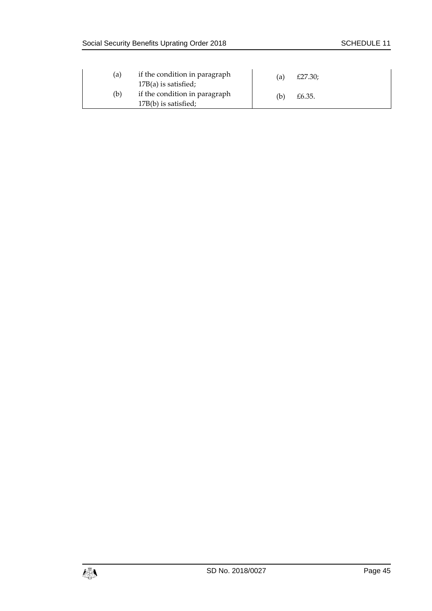| (a) | if the condition in paragraph<br>$17B(a)$ is satisfied; | (a) | £27.30; |
|-----|---------------------------------------------------------|-----|---------|
| (b) | if the condition in paragraph<br>17B(b) is satisfied;   | (b) | £6.35.  |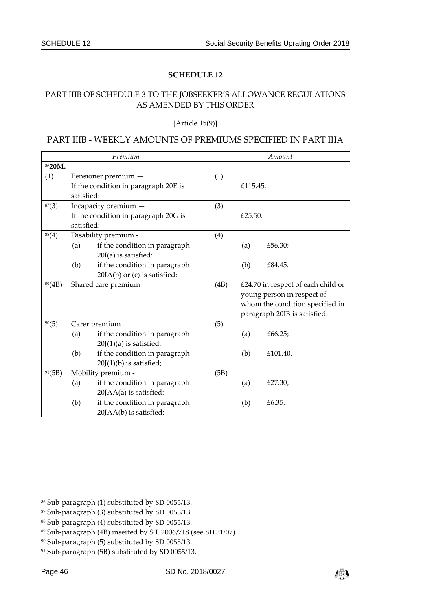### <span id="page-45-1"></span><span id="page-45-0"></span>PART IIIB OF SCHEDULE 3 TO THE JOBSEEKER'S ALLOWANCE REGULATIONS AS AMENDED BY THIS ORDER

[Article 15(9)]

### PART IIIB - WEEKLY AMOUNTS OF PREMIUMS SPECIFIED IN PART IIIA

| Premium |            |                                      |      | Amount                             |                                 |  |
|---------|------------|--------------------------------------|------|------------------------------------|---------------------------------|--|
| 8620M.  |            |                                      |      |                                    |                                 |  |
| (1)     |            | Pensioner premium -                  | (1)  |                                    |                                 |  |
|         |            | If the condition in paragraph 20E is |      | £115.45.                           |                                 |  |
|         | satisfied: |                                      |      |                                    |                                 |  |
| 87(3)   |            | Incapacity premium -                 | (3)  |                                    |                                 |  |
|         |            | If the condition in paragraph 20G is |      | £25.50.                            |                                 |  |
|         | satisfied: |                                      |      |                                    |                                 |  |
| 88(4)   |            | Disability premium -                 | (4)  |                                    |                                 |  |
|         | (a)        | if the condition in paragraph        |      | (a)                                | £56.30;                         |  |
|         |            | $20I(a)$ is satisfied:               |      |                                    |                                 |  |
|         | (b)        | if the condition in paragraph        |      | (b)                                | £84.45.                         |  |
|         |            | 20IA(b) or (c) is satisfied:         |      |                                    |                                 |  |
| 89(4B)  |            | Shared care premium                  | (4B) | £24.70 in respect of each child or |                                 |  |
|         |            |                                      |      |                                    | young person in respect of      |  |
|         |            |                                      |      |                                    | whom the condition specified in |  |
|         |            |                                      |      |                                    | paragraph 20IB is satisfied.    |  |
| 90(5)   |            | Carer premium                        | (5)  |                                    |                                 |  |
|         | (a)        | if the condition in paragraph        |      | (a)                                | £66.25;                         |  |
|         |            | $20J(1)(a)$ is satisfied:            |      |                                    |                                 |  |
|         | (b)        | if the condition in paragraph        |      | (b)                                | £101.40.                        |  |
|         |            | $20J(1)(b)$ is satisfied;            |      |                                    |                                 |  |
| 91(5B)  |            | Mobility premium -                   | (5B) |                                    |                                 |  |
|         | (a)        | if the condition in paragraph        |      | (a)                                | £27.30;                         |  |
|         |            | 20JAA(a) is satisfied:               |      |                                    |                                 |  |
|         | (b)        | if the condition in paragraph        |      | (b)                                | £6.35.                          |  |
|         |            | 20JAA(b) is satisfied:               |      |                                    |                                 |  |



<sup>86</sup> Sub-paragraph (1) substituted by SD 0055/13.

<sup>87</sup> Sub-paragraph (3) substituted by SD 0055/13.

<sup>88</sup> Sub-paragraph (4) substituted by SD 0055/13.

<sup>89</sup> Sub-paragraph (4B) inserted by S.I. 2006/718 (see SD 31/07).

<sup>90</sup> Sub-paragraph (5) substituted by SD 0055/13.

<sup>91</sup> Sub-paragraph (5B) substituted by SD 0055/13.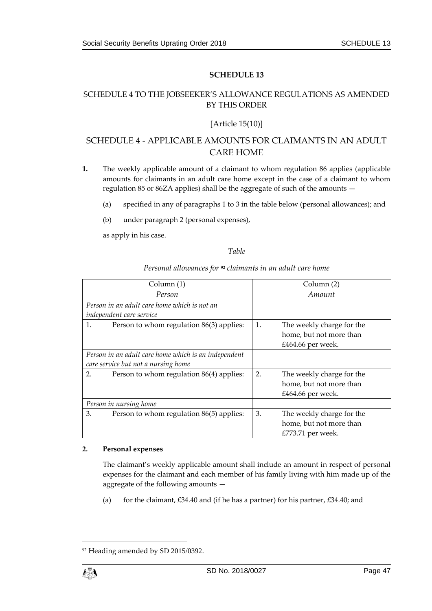## <span id="page-46-1"></span><span id="page-46-0"></span>SCHEDULE 4 TO THE JOBSEEKER'S ALLOWANCE REGULATIONS AS AMENDED BY THIS ORDER

#### [Article 15(10)]

# SCHEDULE 4 - APPLICABLE AMOUNTS FOR CLAIMANTS IN AN ADULT CARE HOME

- **1.** The weekly applicable amount of a claimant to whom regulation 86 applies (applicable amounts for claimants in an adult care home except in the case of a claimant to whom regulation 85 or 86ZA applies) shall be the aggregate of such of the amounts —
	- (a) specified in any of paragraphs 1 to 3 in the table below (personal allowances); and
	- (b) under paragraph 2 (personal expenses),

as apply in his case.

#### *Table*

| Column (1)                                           | Column (2) |                           |  |
|------------------------------------------------------|------------|---------------------------|--|
| Person                                               | Amount     |                           |  |
| Person in an adult care home which is not an         |            |                           |  |
| independent care service                             |            |                           |  |
| 1.<br>Person to whom regulation 86(3) applies:       | 1.         | The weekly charge for the |  |
|                                                      |            | home, but not more than   |  |
|                                                      |            | £464.66 per week.         |  |
| Person in an adult care home which is an independent |            |                           |  |
| care service but not a nursing home                  |            |                           |  |
| 2.<br>Person to whom regulation 86(4) applies:       | 2.         | The weekly charge for the |  |
|                                                      |            | home, but not more than   |  |
|                                                      |            | £464.66 per week.         |  |
| Person in nursing home                               |            |                           |  |
| 3.<br>Person to whom regulation 86(5) applies:       | 3.         | The weekly charge for the |  |
|                                                      |            | home, but not more than   |  |
|                                                      |            | £773.71 per week.         |  |

#### *Personal allowances for* **<sup>92</sup>** *claimants in an adult care home*

#### **2. Personal expenses**

The claimant's weekly applicable amount shall include an amount in respect of personal expenses for the claimant and each member of his family living with him made up of the aggregate of the following amounts —

(a) for the claimant,  $£34.40$  and (if he has a partner) for his partner,  $£34.40$ ; and

<sup>92</sup> Heading amended by SD 2015/0392.

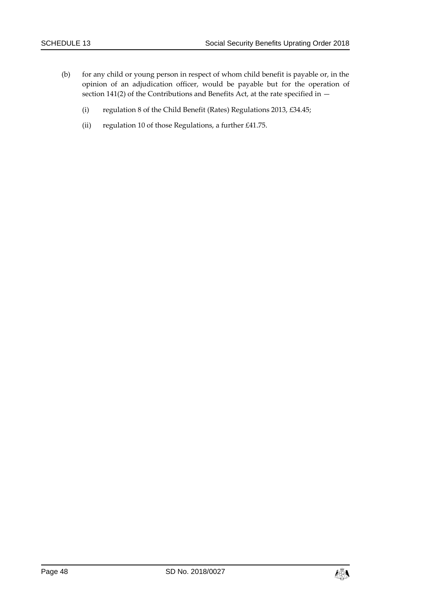- (b) for any child or young person in respect of whom child benefit is payable or, in the opinion of an adjudication officer, would be payable but for the operation of section 141(2) of the Contributions and Benefits Act, at the rate specified in  $-$ 
	- (i) regulation 8 of the Child Benefit (Rates) Regulations 2013, £34.45;
	- (ii) regulation 10 of those Regulations, a further £41.75.

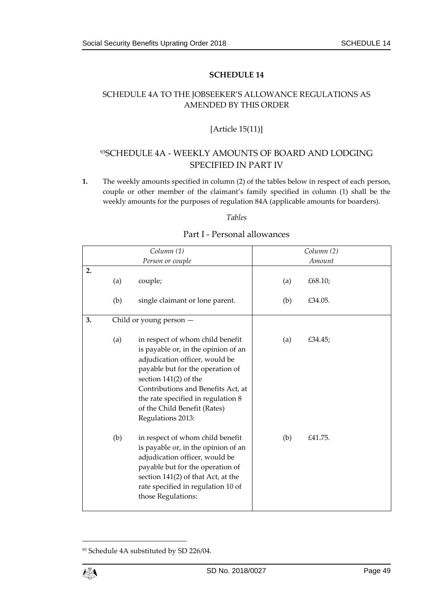# <span id="page-48-1"></span><span id="page-48-0"></span>SCHEDULE 4A TO THE JOBSEEKER'S ALLOWANCE REGULATIONS AS AMENDED BY THIS ORDER

# [Article 15(11)]

# 93SCHEDULE 4A - WEEKLY AMOUNTS OF BOARD AND LODGING SPECIFIED IN PART IV

**1.** The weekly amounts specified in column (2) of the tables below in respect of each person, couple or other member of the claimant's family specified in column (1) shall be the weekly amounts for the purposes of regulation 84A (applicable amounts for boarders).

#### *Tables*

| Part I - Personal allowances |  |
|------------------------------|--|
|------------------------------|--|

|    | Column (1) |                                                                                                                                                                                                                                                                                                           |     | Column (2) |
|----|------------|-----------------------------------------------------------------------------------------------------------------------------------------------------------------------------------------------------------------------------------------------------------------------------------------------------------|-----|------------|
|    |            | Person or couple                                                                                                                                                                                                                                                                                          |     | Amount     |
| 2. | (a)        | couple;                                                                                                                                                                                                                                                                                                   | (a) | £68.10;    |
|    | (b)        | single claimant or lone parent.                                                                                                                                                                                                                                                                           | (b) | £34.05.    |
| 3. |            | Child or young person -                                                                                                                                                                                                                                                                                   |     |            |
|    | (a)        | in respect of whom child benefit<br>is payable or, in the opinion of an<br>adjudication officer, would be<br>payable but for the operation of<br>section $141(2)$ of the<br>Contributions and Benefits Act, at<br>the rate specified in regulation 8<br>of the Child Benefit (Rates)<br>Regulations 2013: | (a) | £34.45;    |
|    | (b)        | in respect of whom child benefit<br>is payable or, in the opinion of an<br>adjudication officer, would be<br>payable but for the operation of<br>section 141(2) of that Act, at the<br>rate specified in regulation 10 of<br>those Regulations:                                                           | (b) | £41.75.    |



<sup>93</sup> Schedule 4A substituted by SD 226/04.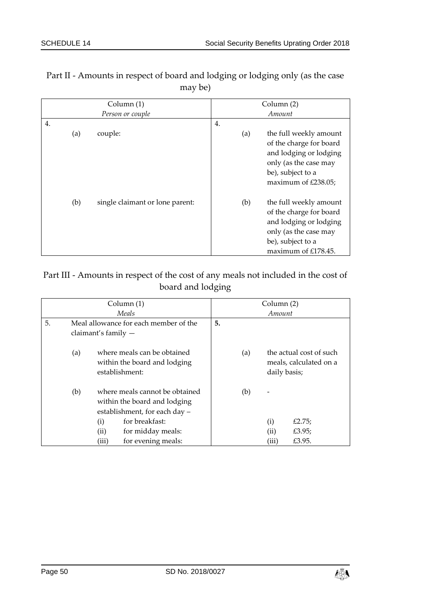| Column $(1)$ |                  |                                 |    | Column (2) |                                                                                                                                                  |  |
|--------------|------------------|---------------------------------|----|------------|--------------------------------------------------------------------------------------------------------------------------------------------------|--|
|              | Person or couple |                                 |    | Amount     |                                                                                                                                                  |  |
| 4.           |                  |                                 | 4. |            |                                                                                                                                                  |  |
|              | (a)              | couple:                         |    | (a)        | the full weekly amount<br>of the charge for board<br>and lodging or lodging<br>only (as the case may<br>be), subject to a<br>maximum of £238.05; |  |
|              | (b)              | single claimant or lone parent: |    | (b)        | the full weekly amount<br>of the charge for board<br>and lodging or lodging<br>only (as the case may<br>be), subject to a<br>maximum of £178.45. |  |

# Part II - Amounts in respect of board and lodging or lodging only (as the case may be)

# Part III - Amounts in respect of the cost of any meals not included in the cost of board and lodging

| Column (1)<br>Meals |                                                                |       |                                                                                                 | Column (2) |     |              |                                                   |  |
|---------------------|----------------------------------------------------------------|-------|-------------------------------------------------------------------------------------------------|------------|-----|--------------|---------------------------------------------------|--|
|                     |                                                                |       | Amount                                                                                          |            |     |              |                                                   |  |
| 5.                  | Meal allowance for each member of the<br>claimant's family $-$ |       |                                                                                                 | 5.         |     |              |                                                   |  |
|                     |                                                                |       |                                                                                                 |            |     |              |                                                   |  |
|                     | (a)                                                            |       | where meals can be obtained<br>within the board and lodging<br>establishment:                   |            | (a) | daily basis; | the actual cost of such<br>meals, calculated on a |  |
|                     | (b)                                                            |       | where meals cannot be obtained<br>within the board and lodging<br>establishment, for each day - |            | (b) |              |                                                   |  |
|                     |                                                                | (i)   | for breakfast:                                                                                  |            |     | (i)          | £2.75;                                            |  |
|                     |                                                                | (ii)  | for midday meals:                                                                               |            |     | (ii)         | £3.95;                                            |  |
|                     |                                                                | (iii) | for evening meals:                                                                              |            |     | (iii)        | £3.95.                                            |  |

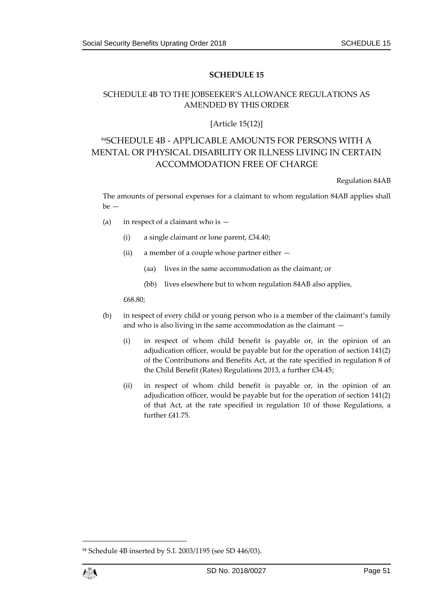# <span id="page-50-1"></span><span id="page-50-0"></span>SCHEDULE 4B TO THE JOBSEEKER'S ALLOWANCE REGULATIONS AS AMENDED BY THIS ORDER

#### [Article 15(12)]

# <sup>94</sup>SCHEDULE 4B - APPLICABLE AMOUNTS FOR PERSONS WITH A MENTAL OR PHYSICAL DISABILITY OR ILLNESS LIVING IN CERTAIN ACCOMMODATION FREE OF CHARGE

Regulation 84AB

The amounts of personal expenses for a claimant to whom regulation 84AB applies shall  $be -$ 

- (a) in respect of a claimant who is  $-$ 
	- (i) a single claimant or lone parent, £34.40;
	- (ii) a member of a couple whose partner either
		- (aa) lives in the same accommodation as the claimant; or
		- (bb) lives elsewhere but to whom regulation 84AB also applies,

£68.80;

- (b) in respect of every child or young person who is a member of the claimant's family and who is also living in the same accommodation as the claimant —
	- (i) in respect of whom child benefit is payable or, in the opinion of an adjudication officer, would be payable but for the operation of section 141(2) of the Contributions and Benefits Act, at the rate specified in regulation 8 of the Child Benefit (Rates) Regulations 2013, a further £34.45;
	- (ii) in respect of whom child benefit is payable or, in the opinion of an adjudication officer, would be payable but for the operation of section 141(2) of that Act, at the rate specified in regulation 10 of those Regulations, a further £41.75.

<sup>94</sup> Schedule 4B inserted by S.I. 2003/1195 (see SD 446/03).

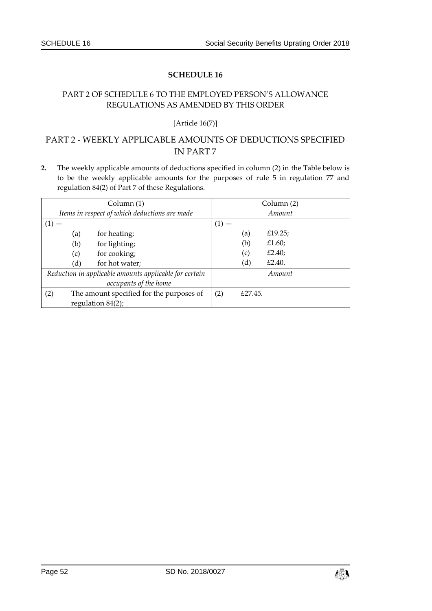# <span id="page-51-1"></span><span id="page-51-0"></span>PART 2 OF SCHEDULE 6 TO THE EMPLOYED PERSON'S ALLOWANCE REGULATIONS AS AMENDED BY THIS ORDER

#### [Article 16(7)]

# PART 2 - WEEKLY APPLICABLE AMOUNTS OF DEDUCTIONS SPECIFIED IN PART 7

**2.** The weekly applicable amounts of deductions specified in column (2) in the Table below is to be the weekly applicable amounts for the purposes of rule 5 in regulation 77 and regulation 84(2) of Part 7 of these Regulations.

| Column (1)                                             |     |                       | Column (2) |         |         |  |
|--------------------------------------------------------|-----|-----------------------|------------|---------|---------|--|
| Items in respect of which deductions are made          |     |                       | Amount     |         |         |  |
| $\left(1\right)$                                       |     |                       |            |         |         |  |
|                                                        | (a) | for heating;          |            | (a)     | £19.25; |  |
|                                                        | (b) | for lighting;         |            | (b)     | £1.60;  |  |
|                                                        | (c) | for cooking;          |            | (c)     | £2.40;  |  |
|                                                        | (d) | for hot water;        |            | (d)     | £2.40.  |  |
| Reduction in applicable amounts applicable for certain |     |                       |            |         | Amount  |  |
|                                                        |     | occupants of the home |            |         |         |  |
| (2)<br>The amount specified for the purposes of        |     |                       | (2)        | £27.45. |         |  |
| regulation $84(2)$ ;                                   |     |                       |            |         |         |  |

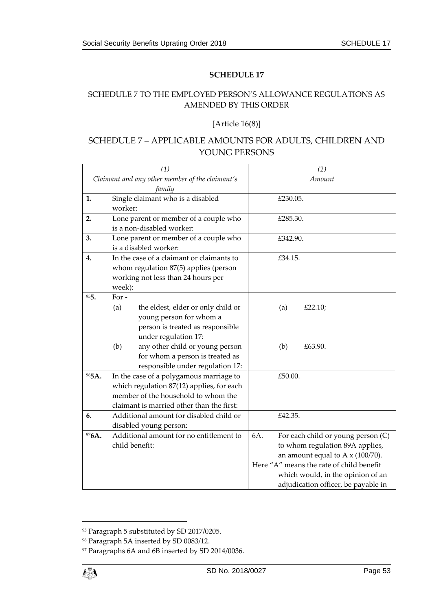# <span id="page-52-1"></span><span id="page-52-0"></span>SCHEDULE 7 TO THE EMPLOYED PERSON'S ALLOWANCE REGULATIONS AS AMENDED BY THIS ORDER

#### [Article 16(8)]

# SCHEDULE 7 – APPLICABLE AMOUNTS FOR ADULTS, CHILDREN AND YOUNG PERSONS

| (1)                                             |                                                                                                                             |                                           | (2)                                      |                                     |  |  |  |
|-------------------------------------------------|-----------------------------------------------------------------------------------------------------------------------------|-------------------------------------------|------------------------------------------|-------------------------------------|--|--|--|
| Claimant and any other member of the claimant's |                                                                                                                             |                                           | Amount                                   |                                     |  |  |  |
|                                                 | family                                                                                                                      |                                           |                                          |                                     |  |  |  |
| 1.                                              |                                                                                                                             | Single claimant who is a disabled         | £230.05.                                 |                                     |  |  |  |
|                                                 | worker:                                                                                                                     |                                           |                                          |                                     |  |  |  |
| 2.                                              | Lone parent or member of a couple who                                                                                       |                                           | £285.30.                                 |                                     |  |  |  |
|                                                 |                                                                                                                             | is a non-disabled worker:                 |                                          |                                     |  |  |  |
| 3.                                              |                                                                                                                             | Lone parent or member of a couple who     | £342.90.                                 |                                     |  |  |  |
|                                                 |                                                                                                                             | is a disabled worker:                     |                                          |                                     |  |  |  |
| 4.                                              |                                                                                                                             | In the case of a claimant or claimants to | £34.15.                                  |                                     |  |  |  |
|                                                 |                                                                                                                             | whom regulation 87(5) applies (person     |                                          |                                     |  |  |  |
|                                                 |                                                                                                                             | working not less than 24 hours per        |                                          |                                     |  |  |  |
|                                                 | week):                                                                                                                      |                                           |                                          |                                     |  |  |  |
| 955.                                            | For $-$                                                                                                                     |                                           |                                          |                                     |  |  |  |
|                                                 | (a)                                                                                                                         | the eldest, elder or only child or        | (a)                                      | £22.10;                             |  |  |  |
|                                                 |                                                                                                                             | young person for whom a                   |                                          |                                     |  |  |  |
|                                                 |                                                                                                                             | person is treated as responsible          |                                          |                                     |  |  |  |
|                                                 |                                                                                                                             | under regulation 17:                      |                                          |                                     |  |  |  |
|                                                 | (b)                                                                                                                         | any other child or young person           | (b)                                      | £63.90.                             |  |  |  |
|                                                 |                                                                                                                             | for whom a person is treated as           |                                          |                                     |  |  |  |
| 965A.                                           | responsible under regulation 17:                                                                                            |                                           | £50.00.                                  |                                     |  |  |  |
|                                                 | In the case of a polygamous marriage to<br>which regulation 87(12) applies, for each<br>member of the household to whom the |                                           |                                          |                                     |  |  |  |
|                                                 |                                                                                                                             |                                           |                                          |                                     |  |  |  |
|                                                 |                                                                                                                             | claimant is married other than the first: |                                          |                                     |  |  |  |
| 6.                                              | Additional amount for disabled child or                                                                                     |                                           | £42.35.                                  |                                     |  |  |  |
|                                                 | disabled young person:                                                                                                      |                                           |                                          |                                     |  |  |  |
| 976A.                                           |                                                                                                                             | Additional amount for no entitlement to   | 6A.                                      | For each child or young person (C)  |  |  |  |
|                                                 |                                                                                                                             | child benefit:                            | to whom regulation 89A applies,          |                                     |  |  |  |
|                                                 |                                                                                                                             |                                           | an amount equal to A $\times$ (100/70).  |                                     |  |  |  |
|                                                 |                                                                                                                             |                                           | Here "A" means the rate of child benefit |                                     |  |  |  |
|                                                 |                                                                                                                             |                                           |                                          | which would, in the opinion of an   |  |  |  |
|                                                 |                                                                                                                             |                                           |                                          | adjudication officer, be payable in |  |  |  |

<sup>95</sup> Paragraph 5 substituted by SD 2017/0205.

<sup>96</sup> Paragraph 5A inserted by SD 0083/12.

<sup>97</sup> Paragraphs 6A and 6B inserted by SD 2014/0036.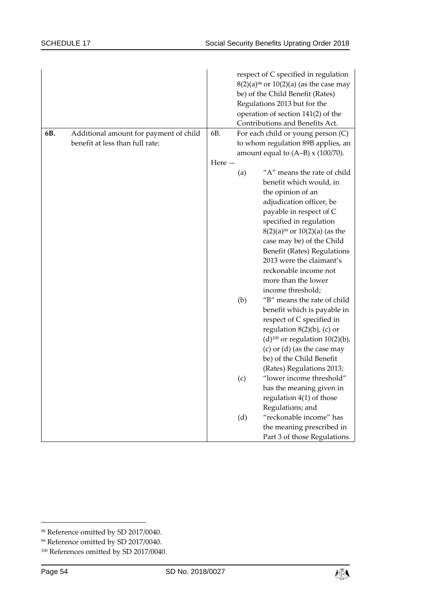| 6B. | Additional amount for payment of child | 6B.   |     | respect of C specified in regulation<br>$8(2)(a)^{98}$ or $10(2)(a)$ (as the case may<br>be) of the Child Benefit (Rates)<br>Regulations 2013 but for the<br>operation of section 141(2) of the<br>Contributions and Benefits Act.<br>For each child or young person (C) |
|-----|----------------------------------------|-------|-----|--------------------------------------------------------------------------------------------------------------------------------------------------------------------------------------------------------------------------------------------------------------------------|
|     | benefit at less than full rate:        |       |     | to whom regulation 89B applies, an                                                                                                                                                                                                                                       |
|     |                                        |       |     | amount equal to $(A-B) \times (100/70)$ .                                                                                                                                                                                                                                |
|     |                                        | Here- |     |                                                                                                                                                                                                                                                                          |
|     |                                        |       | (a) | "A" means the rate of child                                                                                                                                                                                                                                              |
|     |                                        |       |     | benefit which would, in                                                                                                                                                                                                                                                  |
|     |                                        |       |     | the opinion of an                                                                                                                                                                                                                                                        |
|     |                                        |       |     | adjudication officer, be                                                                                                                                                                                                                                                 |
|     |                                        |       |     | payable in respect of C                                                                                                                                                                                                                                                  |
|     |                                        |       |     | specified in regulation                                                                                                                                                                                                                                                  |
|     |                                        |       |     | $8(2)(a)^{99}$ or $10(2)(a)$ (as the                                                                                                                                                                                                                                     |
|     |                                        |       |     | case may be) of the Child                                                                                                                                                                                                                                                |
|     |                                        |       |     | Benefit (Rates) Regulations                                                                                                                                                                                                                                              |
|     |                                        |       |     | 2013 were the claimant's                                                                                                                                                                                                                                                 |
|     |                                        |       |     | reckonable income not                                                                                                                                                                                                                                                    |
|     |                                        |       |     | more than the lower                                                                                                                                                                                                                                                      |
|     |                                        |       |     | income threshold;                                                                                                                                                                                                                                                        |
|     |                                        |       | (b) | "B" means the rate of child                                                                                                                                                                                                                                              |
|     |                                        |       |     | benefit which is payable in                                                                                                                                                                                                                                              |
|     |                                        |       |     | respect of C specified in                                                                                                                                                                                                                                                |
|     |                                        |       |     | regulation $8(2)(b)$ , (c) or                                                                                                                                                                                                                                            |
|     |                                        |       |     | (d) <sup>100</sup> or regulation $10(2)(b)$ ,                                                                                                                                                                                                                            |
|     |                                        |       |     | (c) or $(d)$ (as the case may<br>be) of the Child Benefit                                                                                                                                                                                                                |
|     |                                        |       |     |                                                                                                                                                                                                                                                                          |
|     |                                        |       | (c) | (Rates) Regulations 2013;<br>"lower income threshold"                                                                                                                                                                                                                    |
|     |                                        |       |     | has the meaning given in                                                                                                                                                                                                                                                 |
|     |                                        |       |     | regulation 4(1) of those                                                                                                                                                                                                                                                 |
|     |                                        |       |     | Regulations; and                                                                                                                                                                                                                                                         |
|     |                                        |       | (d) | "reckonable income" has                                                                                                                                                                                                                                                  |
|     |                                        |       |     | the meaning prescribed in                                                                                                                                                                                                                                                |
|     |                                        |       |     | Part 3 of those Regulations.                                                                                                                                                                                                                                             |



<sup>98</sup> Reference omitted by SD 2017/0040.

<sup>99</sup> Reference omitted by SD 2017/0040.

<sup>100</sup> References omitted by SD 2017/0040.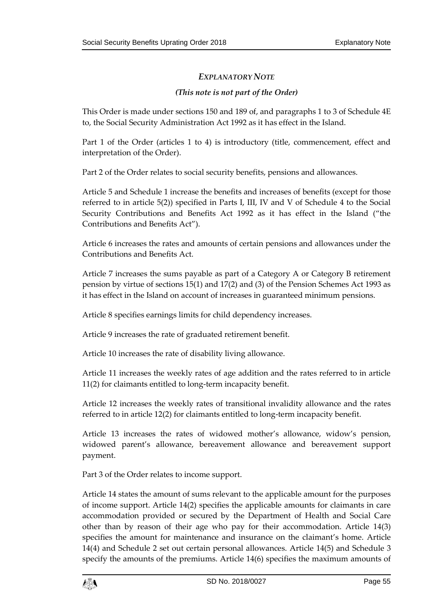# *EXPLANATORY NOTE*

# *(This note is not part of the Order)*

This Order is made under sections 150 and 189 of, and paragraphs 1 to 3 of Schedule 4E to, the Social Security Administration Act 1992 as it has effect in the Island.

Part 1 of the Order (articles 1 to 4) is introductory (title, commencement, effect and interpretation of the Order).

Part 2 of the Order relates to social security benefits, pensions and allowances.

Article 5 and Schedule 1 increase the benefits and increases of benefits (except for those referred to in article 5(2)) specified in Parts I, III, IV and V of Schedule 4 to the Social Security Contributions and Benefits Act 1992 as it has effect in the Island ("the Contributions and Benefits Act").

Article 6 increases the rates and amounts of certain pensions and allowances under the Contributions and Benefits Act.

Article 7 increases the sums payable as part of a Category A or Category B retirement pension by virtue of sections 15(1) and 17(2) and (3) of the Pension Schemes Act 1993 as it has effect in the Island on account of increases in guaranteed minimum pensions.

Article 8 specifies earnings limits for child dependency increases.

Article 9 increases the rate of graduated retirement benefit.

Article 10 increases the rate of disability living allowance.

Article 11 increases the weekly rates of age addition and the rates referred to in article 11(2) for claimants entitled to long-term incapacity benefit.

Article 12 increases the weekly rates of transitional invalidity allowance and the rates referred to in article 12(2) for claimants entitled to long-term incapacity benefit.

Article 13 increases the rates of widowed mother's allowance, widow's pension, widowed parent's allowance, bereavement allowance and bereavement support payment.

Part 3 of the Order relates to income support.

Article 14 states the amount of sums relevant to the applicable amount for the purposes of income support. Article 14(2) specifies the applicable amounts for claimants in care accommodation provided or secured by the Department of Health and Social Care other than by reason of their age who pay for their accommodation. Article 14(3) specifies the amount for maintenance and insurance on the claimant's home. Article 14(4) and Schedule 2 set out certain personal allowances. Article 14(5) and Schedule 3 specify the amounts of the premiums. Article 14(6) specifies the maximum amounts of

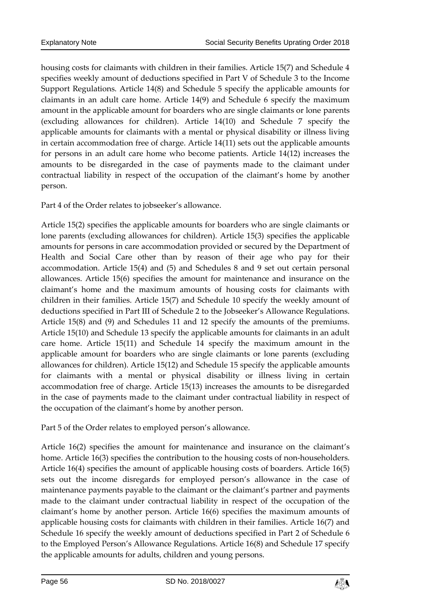housing costs for claimants with children in their families. Article 15(7) and Schedule 4 specifies weekly amount of deductions specified in Part V of Schedule 3 to the Income Support Regulations. Article 14(8) and Schedule 5 specify the applicable amounts for claimants in an adult care home. Article 14(9) and Schedule 6 specify the maximum amount in the applicable amount for boarders who are single claimants or lone parents (excluding allowances for children). Article 14(10) and Schedule 7 specify the applicable amounts for claimants with a mental or physical disability or illness living in certain accommodation free of charge. Article 14(11) sets out the applicable amounts for persons in an adult care home who become patients. Article 14(12) increases the amounts to be disregarded in the case of payments made to the claimant under contractual liability in respect of the occupation of the claimant's home by another person.

Part 4 of the Order relates to jobseeker's allowance.

Article 15(2) specifies the applicable amounts for boarders who are single claimants or lone parents (excluding allowances for children). Article 15(3) specifies the applicable amounts for persons in care accommodation provided or secured by the Department of Health and Social Care other than by reason of their age who pay for their accommodation. Article 15(4) and (5) and Schedules 8 and 9 set out certain personal allowances. Article 15(6) specifies the amount for maintenance and insurance on the claimant's home and the maximum amounts of housing costs for claimants with children in their families. Article 15(7) and Schedule 10 specify the weekly amount of deductions specified in Part III of Schedule 2 to the Jobseeker's Allowance Regulations. Article 15(8) and (9) and Schedules 11 and 12 specify the amounts of the premiums. Article 15(10) and Schedule 13 specify the applicable amounts for claimants in an adult care home. Article 15(11) and Schedule 14 specify the maximum amount in the applicable amount for boarders who are single claimants or lone parents (excluding allowances for children). Article 15(12) and Schedule 15 specify the applicable amounts for claimants with a mental or physical disability or illness living in certain accommodation free of charge. Article 15(13) increases the amounts to be disregarded in the case of payments made to the claimant under contractual liability in respect of the occupation of the claimant's home by another person.

Part 5 of the Order relates to employed person's allowance.

Article 16(2) specifies the amount for maintenance and insurance on the claimant's home. Article 16(3) specifies the contribution to the housing costs of non-householders. Article 16(4) specifies the amount of applicable housing costs of boarders. Article 16(5) sets out the income disregards for employed person's allowance in the case of maintenance payments payable to the claimant or the claimant's partner and payments made to the claimant under contractual liability in respect of the occupation of the claimant's home by another person. Article 16(6) specifies the maximum amounts of applicable housing costs for claimants with children in their families. Article 16(7) and Schedule 16 specify the weekly amount of deductions specified in Part 2 of Schedule 6 to the Employed Person's Allowance Regulations. Article 16(8) and Schedule 17 specify the applicable amounts for adults, children and young persons.